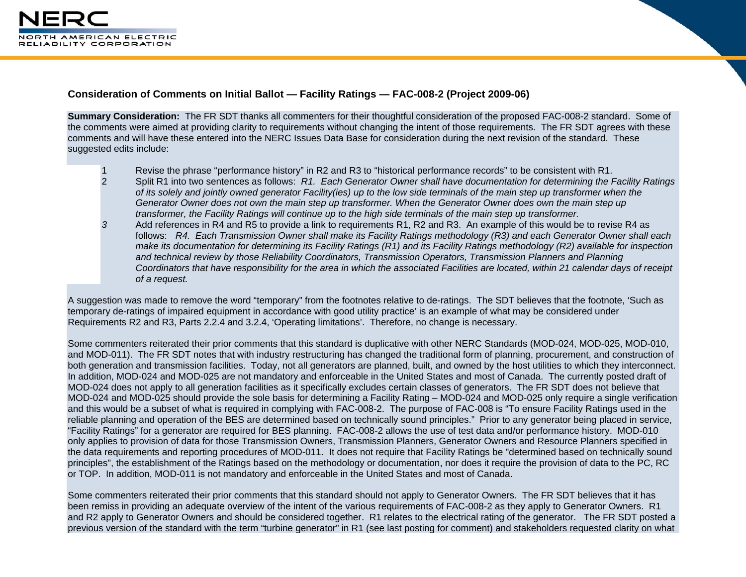

## **Consideration of Comments on Initial Ballot — Facility Ratings — FAC-008-2 (Project 2009-06)**

**Summary Consideration:** The FR SDT thanks all commenters for their thoughtful consideration of the proposed FAC-008-2 standard. Some of the comments were aimed at providing clarity to requirements without changing the intent of those requirements. The FR SDT agrees with these comments and will have these entered into the NERC Issues Data Base for consideration during the next revision of the standard. These suggested edits include:

- 1 Revise the phrase "performance history" in R2 and R3 to "historical performance records" to be consistent with R1.<br>1 Split R1 into two sentences as follows: R1. Each Generator Owner shall have documentation for determini
- 2 Split R1 into two sentences as follows: *R1. Each Generator Owner shall have documentation for determining the Facility Ratings of its solely and jointly owned generator Facility(ies) up to the low side terminals of the main step up transformer when the Generator Owner does not own the main step up transformer. When the Generator Owner does own the main step up transformer, the Facility Ratings will continue up to the high side terminals of the main step up transformer.*
- *3* Add references in R4 and R5 to provide a link to requirements R1, R2 and R3. An example of this would be to revise R4 as follows: *R4. Each Transmission Owner shall make its Facility Ratings methodology (R3) and each Generator Owner shall each make its documentation for determining its Facility Ratings (R1) and its Facility Ratings methodology (R2) available for inspection and technical review by those Reliability Coordinators, Transmission Operators, Transmission Planners and Planning Coordinators that have responsibility for the area in which the associated Facilities are located, within 21 calendar days of receipt of a request.*

A suggestion was made to remove the word "temporary" from the footnotes relative to de-ratings. The SDT believes that the footnote, 'Such as temporary de-ratings of impaired equipment in accordance with good utility practice' is an example of what may be considered under Requirements R2 and R3, Parts 2.2.4 and 3.2.4, 'Operating limitations'. Therefore, no change is necessary.

Some commenters reiterated their prior comments that this standard is duplicative with other NERC Standards (MOD-024, MOD-025, MOD-010, and MOD-011). The FR SDT notes that with industry restructuring has changed the traditional form of planning, procurement, and construction of both generation and transmission facilities. Today, not all generators are planned, built, and owned by the host utilities to which they interconnect. In addition, MOD-024 and MOD-025 are not mandatory and enforceable in the United States and most of Canada. The currently posted draft of MOD-024 does not apply to all generation facilities as it specifically excludes certain classes of generators. The FR SDT does not believe that MOD-024 and MOD-025 should provide the sole basis for determining a Facility Rating – MOD-024 and MOD-025 only require a single verification and this would be a subset of what is required in complying with FAC-008-2. The purpose of FAC-008 is "To ensure Facility Ratings used in the reliable planning and operation of the BES are determined based on technically sound principles." Prior to any generator being placed in service, "Facility Ratings" for a generator are required for BES planning. FAC-008-2 allows the use of test data and/or performance history. MOD-010 only applies to provision of data for those Transmission Owners, Transmission Planners, Generator Owners and Resource Planners specified in the data requirements and reporting procedures of MOD-011. It does not require that Facility Ratings be "determined based on technically sound principles", the establishment of the Ratings based on the methodology or documentation, nor does it require the provision of data to the PC, RC or TOP. In addition, MOD-011 is not mandatory and enforceable in the United States and most of Canada.

Some commenters reiterated their prior comments that this standard should not apply to Generator Owners. The FR SDT believes that it has been remiss in providing an adequate overview of the intent of the various requirements of FAC-008-2 as they apply to Generator Owners. R1 and R2 apply to Generator Owners and should be considered together. R1 relates to the electrical rating of the generator. The FR SDT posted a previous version of the standard with the term "turbine generator" in R1 (see last posting for comment) and stakeholders requested clarity on what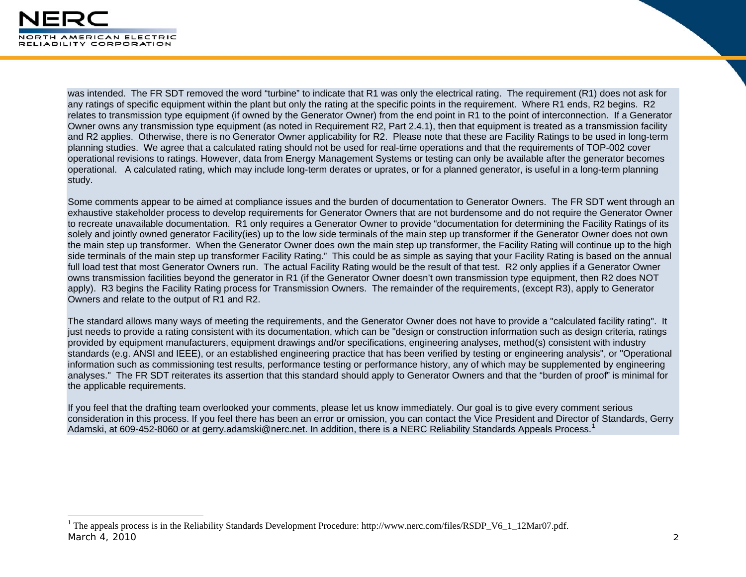

was intended. The FR SDT removed the word "turbine" to indicate that R1 was only the electrical rating. The requirement (R1) does not ask for any ratings of specific equipment within the plant but only the rating at the specific points in the requirement. Where R1 ends, R2 begins. R2 relates to transmission type equipment (if owned by the Generator Owner) from the end point in R1 to the point of interconnection. If a Generator Owner owns any transmission type equipment (as noted in Requirement R2, Part 2.4.1), then that equipment is treated as a transmission facility and R2 applies. Otherwise, there is no Generator Owner applicability for R2. Please note that these are Facility Ratings to be used in long-term planning studies. We agree that a calculated rating should not be used for real-time operations and that the requirements of TOP-002 cover operational revisions to ratings. However, data from Energy Management Systems or testing can only be available after the generator becomes operational. A calculated rating, which may include long-term derates or uprates, or for a planned generator, is useful in a long-term planning study.

Some comments appear to be aimed at compliance issues and the burden of documentation to Generator Owners. The FR SDT went through an exhaustive stakeholder process to develop requirements for Generator Owners that are not burdensome and do not require the Generator Owner to recreate unavailable documentation. R1 only requires a Generator Owner to provide "documentation for determining the Facility Ratings of its solely and jointly owned generator Facility(ies) up to the low side terminals of the main step up transformer if the Generator Owner does not own the main step up transformer. When the Generator Owner does own the main step up transformer, the Facility Rating will continue up to the high side terminals of the main step up transformer Facility Rating." This could be as simple as saying that your Facility Rating is based on the annual full load test that most Generator Owners run. The actual Facility Rating would be the result of that test. R2 only applies if a Generator Owner owns transmission facilities beyond the generator in R1 (if the Generator Owner doesn't own transmission type equipment, then R2 does NOT apply). R3 begins the Facility Rating process for Transmission Owners. The remainder of the requirements, (except R3), apply to Generator Owners and relate to the output of R1 and R2.

The standard allows many ways of meeting the requirements, and the Generator Owner does not have to provide a "calculated facility rating". It just needs to provide a rating consistent with its documentation, which can be "design or construction information such as design criteria, ratings provided by equipment manufacturers, equipment drawings and/or specifications, engineering analyses, method(s) consistent with industry standards (e.g. ANSI and IEEE), or an established engineering practice that has been verified by testing or engineering analysis", or "Operational information such as commissioning test results, performance testing or performance history, any of which may be supplemented by engineering analyses." The FR SDT reiterates its assertion that this standard should apply to Generator Owners and that the "burden of proof" is minimal for the applicable requirements.

If you feel that the drafting team overlooked your comments, please let us know immediately. Our goal is to give every comment serious consideration in this process. If you feel there has been an error or omission, you can contact the Vice President and Director of Standards, Gerry Adamski, at 609-452-8060 or at gerry.adamski@nerc.net. In addition, there is a NERC Reliability Standards Appeals Process.<sup>1</sup>

<span id="page-1-0"></span>March 4, 2010 2 1 The appeals process is in the Reliability Standards Development Procedure: http://www.nerc.com/files/RSDP\_V6\_1\_12Mar07.pdf.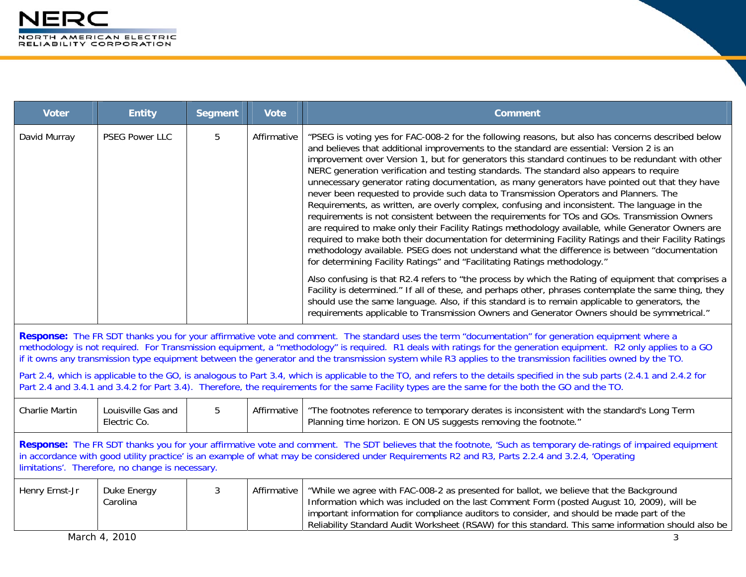| <b>Voter</b>                                                                                                                                                                                                                                                                                                                                                            | <b>Entity</b>                                                                                                                                                                                                                                                                                                                   | <b>Segment</b> | <b>Vote</b> | <b>Comment</b>                                                                                                                                                                                                                                                                                                                                                                                                                                                                                                                                                                                                                                                                                                                                                                                                                                                                                                                                                                                                                                                                                                                                                                           |  |
|-------------------------------------------------------------------------------------------------------------------------------------------------------------------------------------------------------------------------------------------------------------------------------------------------------------------------------------------------------------------------|---------------------------------------------------------------------------------------------------------------------------------------------------------------------------------------------------------------------------------------------------------------------------------------------------------------------------------|----------------|-------------|------------------------------------------------------------------------------------------------------------------------------------------------------------------------------------------------------------------------------------------------------------------------------------------------------------------------------------------------------------------------------------------------------------------------------------------------------------------------------------------------------------------------------------------------------------------------------------------------------------------------------------------------------------------------------------------------------------------------------------------------------------------------------------------------------------------------------------------------------------------------------------------------------------------------------------------------------------------------------------------------------------------------------------------------------------------------------------------------------------------------------------------------------------------------------------------|--|
| David Murray                                                                                                                                                                                                                                                                                                                                                            | <b>PSEG Power LLC</b>                                                                                                                                                                                                                                                                                                           | 5              | Affirmative | "PSEG is voting yes for FAC-008-2 for the following reasons, but also has concerns described below<br>and believes that additional improvements to the standard are essential: Version 2 is an<br>improvement over Version 1, but for generators this standard continues to be redundant with other<br>NERC generation verification and testing standards. The standard also appears to require<br>unnecessary generator rating documentation, as many generators have pointed out that they have<br>never been requested to provide such data to Transmission Operators and Planners. The<br>Requirements, as written, are overly complex, confusing and inconsistent. The language in the<br>requirements is not consistent between the requirements for TOs and GOs. Transmission Owners<br>are required to make only their Facility Ratings methodology available, while Generator Owners are<br>required to make both their documentation for determining Facility Ratings and their Facility Ratings<br>methodology available. PSEG does not understand what the difference is between "documentation<br>for determining Facility Ratings" and "Facilitating Ratings methodology." |  |
|                                                                                                                                                                                                                                                                                                                                                                         |                                                                                                                                                                                                                                                                                                                                 |                |             | Also confusing is that R2.4 refers to "the process by which the Rating of equipment that comprises a<br>Facility is determined." If all of these, and perhaps other, phrases contemplate the same thing, they<br>should use the same language. Also, if this standard is to remain applicable to generators, the<br>requirements applicable to Transmission Owners and Generator Owners should be symmetrical."                                                                                                                                                                                                                                                                                                                                                                                                                                                                                                                                                                                                                                                                                                                                                                          |  |
|                                                                                                                                                                                                                                                                                                                                                                         |                                                                                                                                                                                                                                                                                                                                 |                |             | Response: The FR SDT thanks you for your affirmative vote and comment. The standard uses the term "documentation" for generation equipment where a<br>methodology is not required. For Transmission equipment, a "methodology" is required. R1 deals with ratings for the generation equipment. R2 only applies to a GO<br>if it owns any transmission type equipment between the generator and the transmission system while R3 applies to the transmission facilities owned by the TO.                                                                                                                                                                                                                                                                                                                                                                                                                                                                                                                                                                                                                                                                                                 |  |
|                                                                                                                                                                                                                                                                                                                                                                         | Part 2.4, which is applicable to the GO, is analogous to Part 3.4, which is applicable to the TO, and refers to the details specified in the sub parts (2.4.1 and 2.4.2 for<br>Part 2.4 and 3.4.1 and 3.4.2 for Part 3.4). Therefore, the requirements for the same Facility types are the same for the both the GO and the TO. |                |             |                                                                                                                                                                                                                                                                                                                                                                                                                                                                                                                                                                                                                                                                                                                                                                                                                                                                                                                                                                                                                                                                                                                                                                                          |  |
| <b>Charlie Martin</b>                                                                                                                                                                                                                                                                                                                                                   | Louisville Gas and<br>Electric Co.                                                                                                                                                                                                                                                                                              | 5              | Affirmative | "The footnotes reference to temporary derates is inconsistent with the standard's Long Term<br>Planning time horizon. E ON US suggests removing the footnote."                                                                                                                                                                                                                                                                                                                                                                                                                                                                                                                                                                                                                                                                                                                                                                                                                                                                                                                                                                                                                           |  |
| Response: The FR SDT thanks you for your affirmative vote and comment. The SDT believes that the footnote, 'Such as temporary de-ratings of impaired equipment<br>in accordance with good utility practice' is an example of what may be considered under Requirements R2 and R3, Parts 2.2.4 and 3.2.4, 'Operating<br>limitations'. Therefore, no change is necessary. |                                                                                                                                                                                                                                                                                                                                 |                |             |                                                                                                                                                                                                                                                                                                                                                                                                                                                                                                                                                                                                                                                                                                                                                                                                                                                                                                                                                                                                                                                                                                                                                                                          |  |
| Henry Ernst-Jr                                                                                                                                                                                                                                                                                                                                                          | Duke Energy<br>Carolina                                                                                                                                                                                                                                                                                                         | 3              | Affirmative | "While we agree with FAC-008-2 as presented for ballot, we believe that the Background<br>Information which was included on the last Comment Form (posted August 10, 2009), will be<br>important information for compliance auditors to consider, and should be made part of the<br>Reliability Standard Audit Worksheet (RSAW) for this standard. This same information should also be                                                                                                                                                                                                                                                                                                                                                                                                                                                                                                                                                                                                                                                                                                                                                                                                  |  |
|                                                                                                                                                                                                                                                                                                                                                                         | March 4, 2010                                                                                                                                                                                                                                                                                                                   |                |             | 3                                                                                                                                                                                                                                                                                                                                                                                                                                                                                                                                                                                                                                                                                                                                                                                                                                                                                                                                                                                                                                                                                                                                                                                        |  |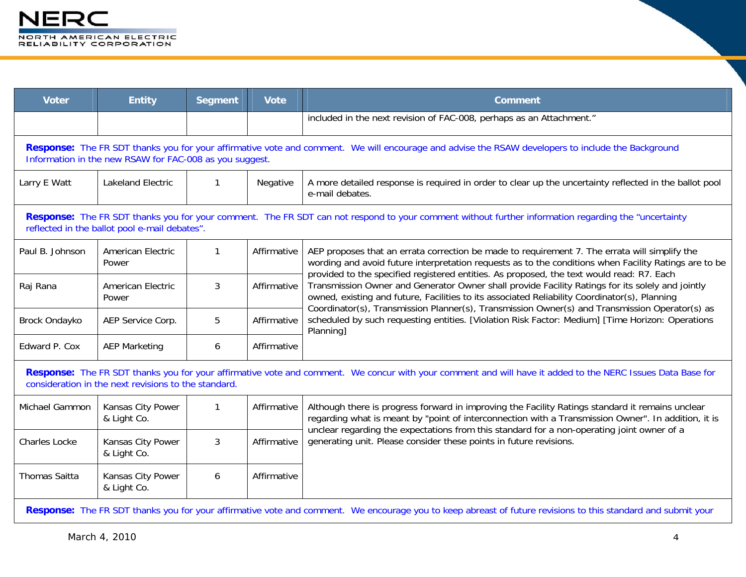| <b>Voter</b>         | <b>Entity</b>                                                                                                                                                                                                | <b>Segment</b> | <b>Vote</b> | <b>Comment</b>                                                                                                                                                                                                                                                                                                                                                                                                       |  |  |  |
|----------------------|--------------------------------------------------------------------------------------------------------------------------------------------------------------------------------------------------------------|----------------|-------------|----------------------------------------------------------------------------------------------------------------------------------------------------------------------------------------------------------------------------------------------------------------------------------------------------------------------------------------------------------------------------------------------------------------------|--|--|--|
|                      |                                                                                                                                                                                                              |                |             | included in the next revision of FAC-008, perhaps as an Attachment."                                                                                                                                                                                                                                                                                                                                                 |  |  |  |
|                      | Response: The FR SDT thanks you for your affirmative vote and comment. We will encourage and advise the RSAW developers to include the Background<br>Information in the new RSAW for FAC-008 as you suggest. |                |             |                                                                                                                                                                                                                                                                                                                                                                                                                      |  |  |  |
| Larry E Watt         | <b>Lakeland Electric</b>                                                                                                                                                                                     | $\mathbf{1}$   | Negative    | A more detailed response is required in order to clear up the uncertainty reflected in the ballot pool<br>e-mail debates.                                                                                                                                                                                                                                                                                            |  |  |  |
|                      | Response: The FR SDT thanks you for your comment. The FR SDT can not respond to your comment without further information regarding the "uncertainty<br>reflected in the ballot pool e-mail debates".         |                |             |                                                                                                                                                                                                                                                                                                                                                                                                                      |  |  |  |
| Paul B. Johnson      | American Electric<br>Power                                                                                                                                                                                   | $\mathbf{1}$   | Affirmative | AEP proposes that an errata correction be made to requirement 7. The errata will simplify the<br>wording and avoid future interpretation requests as to the conditions when Facility Ratings are to be<br>provided to the specified registered entities. As proposed, the text would read: R7. Each                                                                                                                  |  |  |  |
| Raj Rana             | American Electric<br>Power                                                                                                                                                                                   | 3              | Affirmative | Transmission Owner and Generator Owner shall provide Facility Ratings for its solely and jointly<br>owned, existing and future, Facilities to its associated Reliability Coordinator(s), Planning<br>Coordinator(s), Transmission Planner(s), Transmission Owner(s) and Transmission Operator(s) as<br>scheduled by such requesting entities. [Violation Risk Factor: Medium] [Time Horizon: Operations<br>Planning] |  |  |  |
| Brock Ondayko        | AEP Service Corp.                                                                                                                                                                                            | 5              | Affirmative |                                                                                                                                                                                                                                                                                                                                                                                                                      |  |  |  |
| Edward P. Cox        | <b>AEP Marketing</b>                                                                                                                                                                                         | 6              | Affirmative |                                                                                                                                                                                                                                                                                                                                                                                                                      |  |  |  |
|                      | consideration in the next revisions to the standard.                                                                                                                                                         |                |             | Response: The FR SDT thanks you for your affirmative vote and comment. We concur with your comment and will have it added to the NERC Issues Data Base for                                                                                                                                                                                                                                                           |  |  |  |
| Michael Gammon       | Kansas City Power<br>& Light Co.                                                                                                                                                                             | $\mathbf{1}$   | Affirmative | Although there is progress forward in improving the Facility Ratings standard it remains unclear<br>regarding what is meant by "point of interconnection with a Transmission Owner". In addition, it is                                                                                                                                                                                                              |  |  |  |
| <b>Charles Locke</b> | Kansas City Power<br>& Light Co.                                                                                                                                                                             | 3              | Affirmative | unclear regarding the expectations from this standard for a non-operating joint owner of a<br>generating unit. Please consider these points in future revisions.                                                                                                                                                                                                                                                     |  |  |  |
| <b>Thomas Saitta</b> | Kansas City Power<br>& Light Co.                                                                                                                                                                             | 6              | Affirmative |                                                                                                                                                                                                                                                                                                                                                                                                                      |  |  |  |
|                      |                                                                                                                                                                                                              |                |             | Response: The FR SDT thanks you for your affirmative vote and comment. We encourage you to keep abreast of future revisions to this standard and submit your                                                                                                                                                                                                                                                         |  |  |  |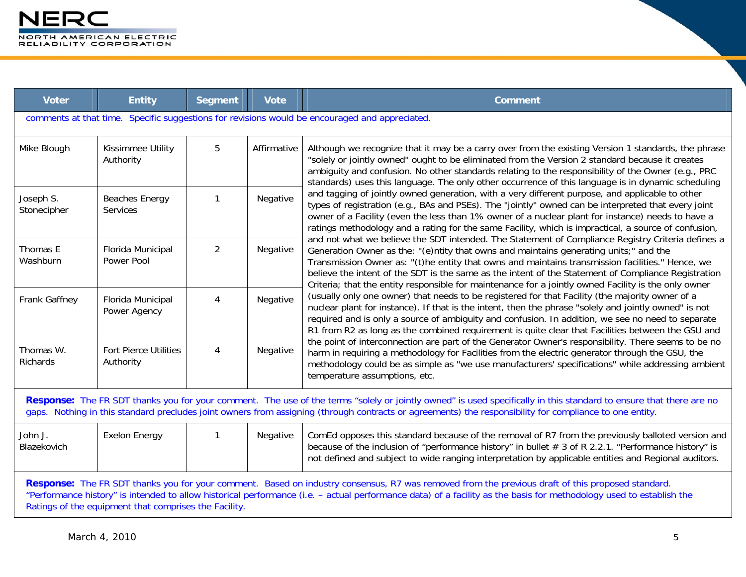| <b>Voter</b>                                                                                                                                                                                                                                                                                                                                                                     | <b>Entity</b>                             | <b>Segment</b> | <b>Vote</b> | <b>Comment</b>                                                                                                                                                                                                                                                                                                                                                                                                                                                                                                |
|----------------------------------------------------------------------------------------------------------------------------------------------------------------------------------------------------------------------------------------------------------------------------------------------------------------------------------------------------------------------------------|-------------------------------------------|----------------|-------------|---------------------------------------------------------------------------------------------------------------------------------------------------------------------------------------------------------------------------------------------------------------------------------------------------------------------------------------------------------------------------------------------------------------------------------------------------------------------------------------------------------------|
|                                                                                                                                                                                                                                                                                                                                                                                  |                                           |                |             | comments at that time. Specific suggestions for revisions would be encouraged and appreciated.                                                                                                                                                                                                                                                                                                                                                                                                                |
| Mike Blough                                                                                                                                                                                                                                                                                                                                                                      | Kissimmee Utility<br>Authority            | 5              | Affirmative | Although we recognize that it may be a carry over from the existing Version 1 standards, the phrase<br>"solely or jointly owned" ought to be eliminated from the Version 2 standard because it creates<br>ambiguity and confusion. No other standards relating to the responsibility of the Owner (e.g., PRC<br>standards) uses this language. The only other occurrence of this language is in dynamic scheduling                                                                                            |
| Joseph S.<br>Stonecipher                                                                                                                                                                                                                                                                                                                                                         | <b>Beaches Energy</b><br>Services         | 1              | Negative    | and tagging of jointly owned generation, with a very different purpose, and applicable to other<br>types of registration (e.g., BAs and PSEs). The "jointly" owned can be interpreted that every joint<br>owner of a Facility (even the less than 1% owner of a nuclear plant for instance) needs to have a<br>ratings methodology and a rating for the same Facility, which is impractical, a source of confusion,                                                                                           |
| Thomas E<br>Washburn                                                                                                                                                                                                                                                                                                                                                             | Florida Municipal<br>Power Pool           | $\overline{2}$ | Negative    | and not what we believe the SDT intended. The Statement of Compliance Registry Criteria defines a<br>Generation Owner as the: "(e)ntity that owns and maintains generating units;" and the<br>Transmission Owner as: "(t)he entity that owns and maintains transmission facilities." Hence, we<br>believe the intent of the SDT is the same as the intent of the Statement of Compliance Registration<br>Criteria; that the entity responsible for maintenance for a jointly owned Facility is the only owner |
| Frank Gaffney                                                                                                                                                                                                                                                                                                                                                                    | Florida Municipal<br>Power Agency         | 4              | Negative    | (usually only one owner) that needs to be registered for that Facility (the majority owner of a<br>nuclear plant for instance). If that is the intent, then the phrase "solely and jointly owned" is not<br>required and is only a source of ambiguity and confusion. In addition, we see no need to separate<br>R1 from R2 as long as the combined requirement is quite clear that Facilities between the GSU and                                                                                            |
| Thomas W.<br>Richards                                                                                                                                                                                                                                                                                                                                                            | <b>Fort Pierce Utilities</b><br>Authority | 4              | Negative    | the point of interconnection are part of the Generator Owner's responsibility. There seems to be no<br>harm in requiring a methodology for Facilities from the electric generator through the GSU, the<br>methodology could be as simple as "we use manufacturers' specifications" while addressing ambient<br>temperature assumptions, etc.                                                                                                                                                                  |
| Response: The FR SDT thanks you for your comment. The use of the terms "solely or jointly owned" is used specifically in this standard to ensure that there are no<br>gaps. Nothing in this standard precludes joint owners from assigning (through contracts or agreements) the responsibility for compliance to one entity.                                                    |                                           |                |             |                                                                                                                                                                                                                                                                                                                                                                                                                                                                                                               |
| John J.<br>Blazekovich                                                                                                                                                                                                                                                                                                                                                           | <b>Exelon Energy</b>                      | 1              | Negative    | ComEd opposes this standard because of the removal of R7 from the previously balloted version and<br>because of the inclusion of "performance history" in bullet $# 3$ of R 2.2.1. "Performance history" is<br>not defined and subject to wide ranging interpretation by applicable entities and Regional auditors.                                                                                                                                                                                           |
| Response: The FR SDT thanks you for your comment. Based on industry consensus, R7 was removed from the previous draft of this proposed standard.<br>"Performance history" is intended to allow historical performance (i.e. - actual performance data) of a facility as the basis for methodology used to establish the<br>Ratings of the equipment that comprises the Facility. |                                           |                |             |                                                                                                                                                                                                                                                                                                                                                                                                                                                                                                               |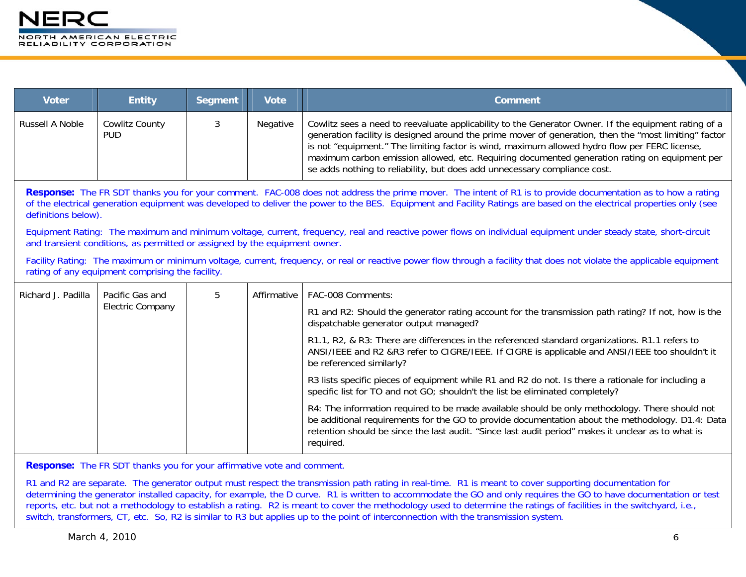| <b>Voter</b>                                                                                                                                                                                                                                                                                                                                                                                                                                                                                                                                                                                                | <b>Entity</b>                                                                                                                                                                                                             | <b>Segment</b> | <b>Vote</b> | <b>Comment</b>                                                                                                                                                                                                                                                                                                                                                                                                                                                                               |  |
|-------------------------------------------------------------------------------------------------------------------------------------------------------------------------------------------------------------------------------------------------------------------------------------------------------------------------------------------------------------------------------------------------------------------------------------------------------------------------------------------------------------------------------------------------------------------------------------------------------------|---------------------------------------------------------------------------------------------------------------------------------------------------------------------------------------------------------------------------|----------------|-------------|----------------------------------------------------------------------------------------------------------------------------------------------------------------------------------------------------------------------------------------------------------------------------------------------------------------------------------------------------------------------------------------------------------------------------------------------------------------------------------------------|--|
| Russell A Noble                                                                                                                                                                                                                                                                                                                                                                                                                                                                                                                                                                                             | Cowlitz County<br><b>PUD</b>                                                                                                                                                                                              | 3              | Negative    | Cowlitz sees a need to reevaluate applicability to the Generator Owner. If the equipment rating of a<br>generation facility is designed around the prime mover of generation, then the "most limiting" factor<br>is not "equipment." The limiting factor is wind, maximum allowed hydro flow per FERC license,<br>maximum carbon emission allowed, etc. Requiring documented generation rating on equipment per<br>se adds nothing to reliability, but does add unnecessary compliance cost. |  |
| Response: The FR SDT thanks you for your comment. FAC-008 does not address the prime mover. The intent of R1 is to provide documentation as to how a rating<br>of the electrical generation equipment was developed to deliver the power to the BES. Equipment and Facility Ratings are based on the electrical properties only (see<br>definitions below).<br>Equipment Rating: The maximum and minimum voltage, current, frequency, real and reactive power flows on individual equipment under steady state, short-circuit<br>and transient conditions, as permitted or assigned by the equipment owner. |                                                                                                                                                                                                                           |                |             |                                                                                                                                                                                                                                                                                                                                                                                                                                                                                              |  |
|                                                                                                                                                                                                                                                                                                                                                                                                                                                                                                                                                                                                             | Facility Rating: The maximum or minimum voltage, current, frequency, or real or reactive power flow through a facility that does not violate the applicable equipment<br>rating of any equipment comprising the facility. |                |             |                                                                                                                                                                                                                                                                                                                                                                                                                                                                                              |  |
| Richard J. Padilla                                                                                                                                                                                                                                                                                                                                                                                                                                                                                                                                                                                          | Pacific Gas and<br><b>Electric Company</b>                                                                                                                                                                                | 5              | Affirmative | FAC-008 Comments:                                                                                                                                                                                                                                                                                                                                                                                                                                                                            |  |
|                                                                                                                                                                                                                                                                                                                                                                                                                                                                                                                                                                                                             |                                                                                                                                                                                                                           |                |             | R1 and R2: Should the generator rating account for the transmission path rating? If not, how is the<br>dispatchable generator output managed?                                                                                                                                                                                                                                                                                                                                                |  |
|                                                                                                                                                                                                                                                                                                                                                                                                                                                                                                                                                                                                             |                                                                                                                                                                                                                           |                |             | R1.1, R2, & R3: There are differences in the referenced standard organizations. R1.1 refers to<br>ANSI/IEEE and R2 &R3 refer to CIGRE/IEEE. If CIGRE is applicable and ANSI/IEEE too shouldn't it<br>be referenced similarly?                                                                                                                                                                                                                                                                |  |
|                                                                                                                                                                                                                                                                                                                                                                                                                                                                                                                                                                                                             |                                                                                                                                                                                                                           |                |             | R3 lists specific pieces of equipment while R1 and R2 do not. Is there a rationale for including a<br>specific list for TO and not GO; shouldn't the list be eliminated completely?                                                                                                                                                                                                                                                                                                          |  |
|                                                                                                                                                                                                                                                                                                                                                                                                                                                                                                                                                                                                             |                                                                                                                                                                                                                           |                |             | R4: The information required to be made available should be only methodology. There should not<br>be additional requirements for the GO to provide documentation about the methodology. D1.4: Data<br>retention should be since the last audit. "Since last audit period" makes it unclear as to what is<br>required.                                                                                                                                                                        |  |

**Response:** The FR SDT thanks you for your affirmative vote and comment.

R1 and R2 are separate. The generator output must respect the transmission path rating in real-time. R1 is meant to cover supporting documentation for determining the generator installed capacity, for example, the D curve. R1 is written to accommodate the GO and only requires the GO to have documentation or test reports, etc. but not a methodology to establish a rating. R2 is meant to cover the methodology used to determine the ratings of facilities in the switchyard, i.e., switch, transformers, CT, etc. So, R2 is similar to R3 but applies up to the point of interconnection with the transmission system.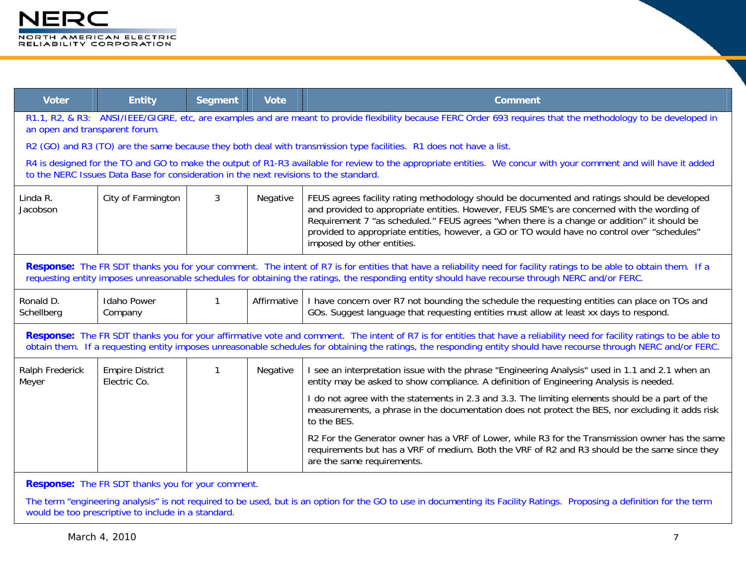

| <b>Voter</b>                   | <b>Entity</b>                                                                         | <b>Segment</b> | <b>Vote</b> | <b>Comment</b>                                                                                                                                                                                                                                                                                                                                                                                                           |
|--------------------------------|---------------------------------------------------------------------------------------|----------------|-------------|--------------------------------------------------------------------------------------------------------------------------------------------------------------------------------------------------------------------------------------------------------------------------------------------------------------------------------------------------------------------------------------------------------------------------|
| an open and transparent forum. |                                                                                       |                |             | R1.1, R2, & R3: ANSI/IEEE/GIGRE, etc, are examples and are meant to provide flexibility because FERC Order 693 requires that the methodology to be developed in                                                                                                                                                                                                                                                          |
|                                |                                                                                       |                |             | R2 (GO) and R3 (TO) are the same because they both deal with transmission type facilities. R1 does not have a list.                                                                                                                                                                                                                                                                                                      |
|                                | to the NERC Issues Data Base for consideration in the next revisions to the standard. |                |             | R4 is designed for the TO and GO to make the output of R1-R3 available for review to the appropriate entities. We concur with your comment and will have it added                                                                                                                                                                                                                                                        |
| Linda R.<br>Jacobson           | City of Farmington                                                                    | 3              | Negative    | FEUS agrees facility rating methodology should be documented and ratings should be developed<br>and provided to appropriate entities. However, FEUS SME's are concerned with the wording of<br>Requirement 7 "as scheduled." FEUS agrees "when there is a change or addition" it should be<br>provided to appropriate entities, however, a GO or TO would have no control over "schedules"<br>imposed by other entities. |
|                                |                                                                                       |                |             | Response: The FR SDT thanks you for your comment. The intent of R7 is for entities that have a reliability need for facility ratings to be able to obtain them. If a<br>requesting entity imposes unreasonable schedules for obtaining the ratings, the responding entity should have recourse through NERC and/or FERC.                                                                                                 |
| Ronald D.<br>Schellberg        | <b>Idaho Power</b><br>Company                                                         | $\mathbf{1}$   | Affirmative | I have concern over R7 not bounding the schedule the requesting entities can place on TOs and<br>GOs. Suggest language that requesting entities must allow at least xx days to respond.                                                                                                                                                                                                                                  |
|                                |                                                                                       |                |             | Response: The FR SDT thanks you for your affirmative vote and comment. The intent of R7 is for entities that have a reliability need for facility ratings to be able to<br>obtain them. If a requesting entity imposes unreasonable schedules for obtaining the ratings, the responding entity should have recourse through NERC and/or FERC.                                                                            |
| Ralph Frederick<br>Meyer       | <b>Empire District</b><br>Electric Co.                                                |                | Negative    | I see an interpretation issue with the phrase "Engineering Analysis" used in 1.1 and 2.1 when an<br>entity may be asked to show compliance. A definition of Engineering Analysis is needed.                                                                                                                                                                                                                              |
|                                |                                                                                       |                |             | I do not agree with the statements in 2.3 and 3.3. The limiting elements should be a part of the<br>measurements, a phrase in the documentation does not protect the BES, nor excluding it adds risk<br>to the BES.                                                                                                                                                                                                      |
|                                |                                                                                       |                |             | R2 For the Generator owner has a VRF of Lower, while R3 for the Transmission owner has the same<br>requirements but has a VRF of medium. Both the VRF of R2 and R3 should be the same since they<br>are the same requirements.                                                                                                                                                                                           |

**Response:** The FR SDT thanks you for your comment.

The term "engineering analysis" is not required to be used, but is an option for the GO to use in documenting its Facility Ratings. Proposing a definition for the term would be too prescriptive to include in a standard.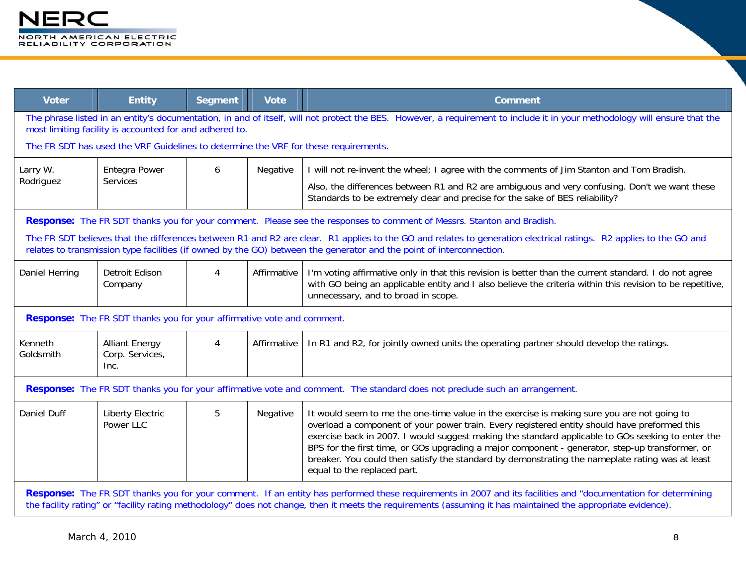| <b>Voter</b>         | <b>Entity</b>                                                                                                                                                                                                                        | <b>Segment</b> | <b>Vote</b> | <b>Comment</b>                                                                                                                                                                                                                                                                                                                                                                                                                                                                                                                       |  |  |  |
|----------------------|--------------------------------------------------------------------------------------------------------------------------------------------------------------------------------------------------------------------------------------|----------------|-------------|--------------------------------------------------------------------------------------------------------------------------------------------------------------------------------------------------------------------------------------------------------------------------------------------------------------------------------------------------------------------------------------------------------------------------------------------------------------------------------------------------------------------------------------|--|--|--|
|                      | The phrase listed in an entity's documentation, in and of itself, will not protect the BES. However, a requirement to include it in your methodology will ensure that the<br>most limiting facility is accounted for and adhered to. |                |             |                                                                                                                                                                                                                                                                                                                                                                                                                                                                                                                                      |  |  |  |
|                      | The FR SDT has used the VRF Guidelines to determine the VRF for these requirements.                                                                                                                                                  |                |             |                                                                                                                                                                                                                                                                                                                                                                                                                                                                                                                                      |  |  |  |
| Larry W.             | <b>Entegra Power</b>                                                                                                                                                                                                                 | 6              | Negative    | I will not re-invent the wheel; I agree with the comments of Jim Stanton and Tom Bradish.                                                                                                                                                                                                                                                                                                                                                                                                                                            |  |  |  |
| Rodriguez            | Services                                                                                                                                                                                                                             |                |             | Also, the differences between R1 and R2 are ambiguous and very confusing. Don't we want these<br>Standards to be extremely clear and precise for the sake of BES reliability?                                                                                                                                                                                                                                                                                                                                                        |  |  |  |
|                      |                                                                                                                                                                                                                                      |                |             | Response: The FR SDT thanks you for your comment. Please see the responses to comment of Messrs. Stanton and Bradish.                                                                                                                                                                                                                                                                                                                                                                                                                |  |  |  |
|                      |                                                                                                                                                                                                                                      |                |             | The FR SDT believes that the differences between R1 and R2 are clear. R1 applies to the GO and relates to generation electrical ratings. R2 applies to the GO and<br>relates to transmission type facilities (if owned by the GO) between the generator and the point of interconnection.                                                                                                                                                                                                                                            |  |  |  |
| Daniel Herring       | <b>Detroit Edison</b><br>Company                                                                                                                                                                                                     | 4              | Affirmative | I'm voting affirmative only in that this revision is better than the current standard. I do not agree<br>with GO being an applicable entity and I also believe the criteria within this revision to be repetitive,<br>unnecessary, and to broad in scope.                                                                                                                                                                                                                                                                            |  |  |  |
|                      | <b>Response:</b> The FR SDT thanks you for your affirmative vote and comment.                                                                                                                                                        |                |             |                                                                                                                                                                                                                                                                                                                                                                                                                                                                                                                                      |  |  |  |
| Kenneth<br>Goldsmith | <b>Alliant Energy</b><br>Corp. Services,<br>Inc.                                                                                                                                                                                     | 4              | Affirmative | In R1 and R2, for jointly owned units the operating partner should develop the ratings.                                                                                                                                                                                                                                                                                                                                                                                                                                              |  |  |  |
|                      |                                                                                                                                                                                                                                      |                |             | Response: The FR SDT thanks you for your affirmative vote and comment. The standard does not preclude such an arrangement.                                                                                                                                                                                                                                                                                                                                                                                                           |  |  |  |
| Daniel Duff          | <b>Liberty Electric</b><br>Power LLC                                                                                                                                                                                                 | 5              | Negative    | It would seem to me the one-time value in the exercise is making sure you are not going to<br>overload a component of your power train. Every registered entity should have preformed this<br>exercise back in 2007. I would suggest making the standard applicable to GOs seeking to enter the<br>BPS for the first time, or GOs upgrading a major component - generator, step-up transformer, or<br>breaker. You could then satisfy the standard by demonstrating the nameplate rating was at least<br>equal to the replaced part. |  |  |  |
|                      |                                                                                                                                                                                                                                      |                |             | Response: The FR SDT thanks you for your comment. If an entity has performed these requirements in 2007 and its facilities and "documentation for determining<br>the facility rating" or "facility rating methodology" does not change, then it meets the requirements (assuming it has maintained the appropriate evidence).                                                                                                                                                                                                        |  |  |  |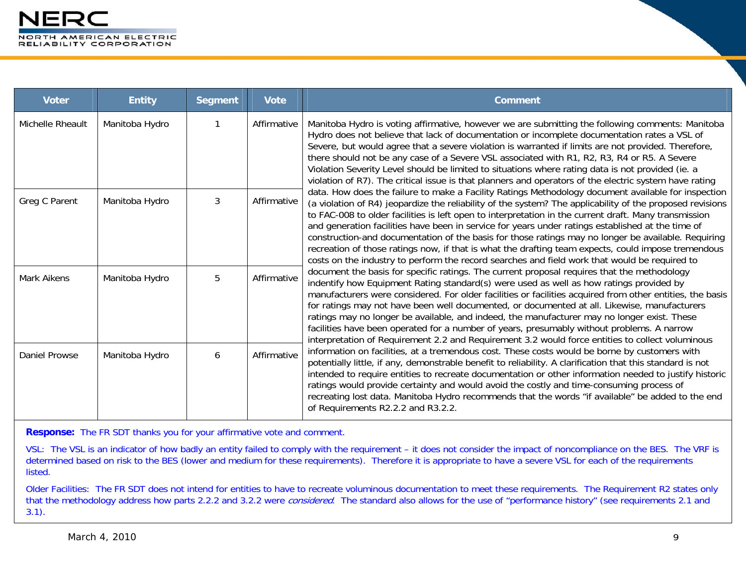| <b>Voter</b>     | <b>Entity</b>  | <b>Segment</b> | <b>Vote</b> | <b>Comment</b>                                                                                                                                                                                                                                                                                                                                                                                                                                                                                                                                                                                                                                                                                                                                |
|------------------|----------------|----------------|-------------|-----------------------------------------------------------------------------------------------------------------------------------------------------------------------------------------------------------------------------------------------------------------------------------------------------------------------------------------------------------------------------------------------------------------------------------------------------------------------------------------------------------------------------------------------------------------------------------------------------------------------------------------------------------------------------------------------------------------------------------------------|
| Michelle Rheault | Manitoba Hydro |                | Affirmative | Manitoba Hydro is voting affirmative, however we are submitting the following comments: Manitoba<br>Hydro does not believe that lack of documentation or incomplete documentation rates a VSL of<br>Severe, but would agree that a severe violation is warranted if limits are not provided. Therefore,<br>there should not be any case of a Severe VSL associated with R1, R2, R3, R4 or R5. A Severe<br>Violation Severity Level should be limited to situations where rating data is not provided (ie. a<br>violation of R7). The critical issue is that planners and operators of the electric system have rating                                                                                                                         |
| Greg C Parent    | Manitoba Hydro | 3              | Affirmative | data. How does the failure to make a Facility Ratings Methodology document available for inspection<br>(a violation of R4) jeopardize the reliability of the system? The applicability of the proposed revisions<br>to FAC-008 to older facilities is left open to interpretation in the current draft. Many transmission<br>and generation facilities have been in service for years under ratings established at the time of<br>construction-and documentation of the basis for those ratings may no longer be available. Requiring<br>recreation of those ratings now, if that is what the drafting team expects, could impose tremendous<br>costs on the industry to perform the record searches and field work that would be required to |
| Mark Aikens      | Manitoba Hydro | 5              | Affirmative | document the basis for specific ratings. The current proposal requires that the methodology<br>indentify how Equipment Rating standard(s) were used as well as how ratings provided by<br>manufacturers were considered. For older facilities or facilities acquired from other entities, the basis<br>for ratings may not have been well documented, or documented at all. Likewise, manufacturers<br>ratings may no longer be available, and indeed, the manufacturer may no longer exist. These<br>facilities have been operated for a number of years, presumably without problems. A narrow<br>interpretation of Requirement 2.2 and Requirement 3.2 would force entities to collect voluminous                                          |
| Daniel Prowse    | Manitoba Hydro | 6              | Affirmative | information on facilities, at a tremendous cost. These costs would be borne by customers with<br>potentially little, if any, demonstrable benefit to reliability. A clarification that this standard is not<br>intended to require entities to recreate documentation or other information needed to justify historic<br>ratings would provide certainty and would avoid the costly and time-consuming process of<br>recreating lost data. Manitoba Hydro recommends that the words "if available" be added to the end<br>of Requirements R2.2.2 and R3.2.2.                                                                                                                                                                                  |

**Response:** The FR SDT thanks you for your affirmative vote and comment.

VSL: The VSL is an indicator of how badly an entity failed to comply with the requirement – it does not consider the impact of noncompliance on the BES. The VRF is determined based on risk to the BES (lower and medium for these requirements). Therefore it is appropriate to have a severe VSL for each of the requirements listed.

Older Facilities: The FR SDT does not intend for entities to have to recreate voluminous documentation to meet these requirements. The Requirement R2 states only that the methodology address how parts 2.2.2 and 3.2.2 were considered. The standard also allows for the use of "performance history" (see requirements 2.1 and 3.1).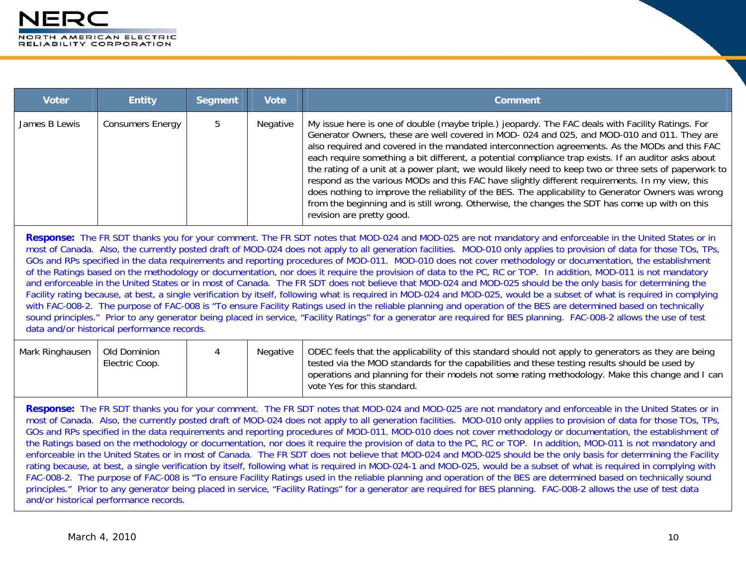| <b>Voter</b>  | <b>Entity</b>           | <b>Segment</b> | <b>Vote</b> | <b>Comment</b>                                                                                                                                                                                                                                                                                                                                                                                                                                                                                                                                                                                                                                                                                                                                                                                                                                              |
|---------------|-------------------------|----------------|-------------|-------------------------------------------------------------------------------------------------------------------------------------------------------------------------------------------------------------------------------------------------------------------------------------------------------------------------------------------------------------------------------------------------------------------------------------------------------------------------------------------------------------------------------------------------------------------------------------------------------------------------------------------------------------------------------------------------------------------------------------------------------------------------------------------------------------------------------------------------------------|
| James B Lewis | <b>Consumers Energy</b> |                | Negative    | My issue here is one of double (maybe triple.) jeopardy. The FAC deals with Facility Ratings. For<br>Generator Owners, these are well covered in MOD-024 and 025, and MOD-010 and 011. They are<br>also required and covered in the mandated interconnection agreements. As the MODs and this FAC<br>each require something a bit different, a potential compliance trap exists. If an auditor asks about<br>the rating of a unit at a power plant, we would likely need to keep two or three sets of paperwork to<br>respond as the various MODs and this FAC have slightly different requirements. In my view, this<br>does nothing to improve the reliability of the BES. The applicability to Generator Owners was wrong<br>from the beginning and is still wrong. Otherwise, the changes the SDT has come up with on this<br>revision are pretty good. |

**Response:** The FR SDT thanks you for your comment. The FR SDT notes that MOD-024 and MOD-025 are not mandatory and enforceable in the United States or in most of Canada. Also, the currently posted draft of MOD-024 does not apply to all generation facilities. MOD-010 only applies to provision of data for those TOs, TPs, GOs and RPs specified in the data requirements and reporting procedures of MOD-011. MOD-010 does not cover methodology or documentation, the establishment of the Ratings based on the methodology or documentation, nor does it require the provision of data to the PC, RC or TOP. In addition, MOD-011 is not mandatory and enforceable in the United States or in most of Canada. The FR SDT does not believe that MOD-024 and MOD-025 should be the only basis for determining the Facility rating because, at best, a single verification by itself, following what is required in MOD-024 and MOD-025, would be a subset of what is required in complying with FAC-008-2. The purpose of FAC-008 is "To ensure Facility Ratings used in the reliable planning and operation of the BES are determined based on technically sound principles." Prior to any generator being placed in service, "Facility Ratings" for a generator are required for BES planning. FAC-008-2 allows the use of test data and/or historical performance records.

| Mark Ringhausen | Old Dominion<br>Electric Coop. |  | Negative | ODEC feels that the applicability of this standard should not apply to generators as they are being<br>t tested via the MOD standards for the capabilities and these testing results should be used by<br>operations and planning for their models not some rating methodology. Make this change and I can<br>vote Yes for this standard. |
|-----------------|--------------------------------|--|----------|-------------------------------------------------------------------------------------------------------------------------------------------------------------------------------------------------------------------------------------------------------------------------------------------------------------------------------------------|
|-----------------|--------------------------------|--|----------|-------------------------------------------------------------------------------------------------------------------------------------------------------------------------------------------------------------------------------------------------------------------------------------------------------------------------------------------|

**Response:** The FR SDT thanks you for your comment. The FR SDT notes that MOD-024 and MOD-025 are not mandatory and enforceable in the United States or in most of Canada. Also, the currently posted draft of MOD-024 does not apply to all generation facilities. MOD-010 only applies to provision of data for those TOs, TPs, GOs and RPs specified in the data requirements and reporting procedures of MOD-011. MOD-010 does not cover methodology or documentation, the establishment of the Ratings based on the methodology or documentation, nor does it require the provision of data to the PC, RC or TOP. In addition, MOD-011 is not mandatory and enforceable in the United States or in most of Canada. The FR SDT does not believe that MOD-024 and MOD-025 should be the only basis for determining the Facility rating because, at best, a single verification by itself, following what is required in MOD-024-1 and MOD-025, would be a subset of what is required in complying with FAC-008-2. The purpose of FAC-008 is "To ensure Facility Ratings used in the reliable planning and operation of the BES are determined based on technically sound principles." Prior to any generator being placed in service, "Facility Ratings" for a generator are required for BES planning. FAC-008-2 allows the use of test data and/or historical performance records.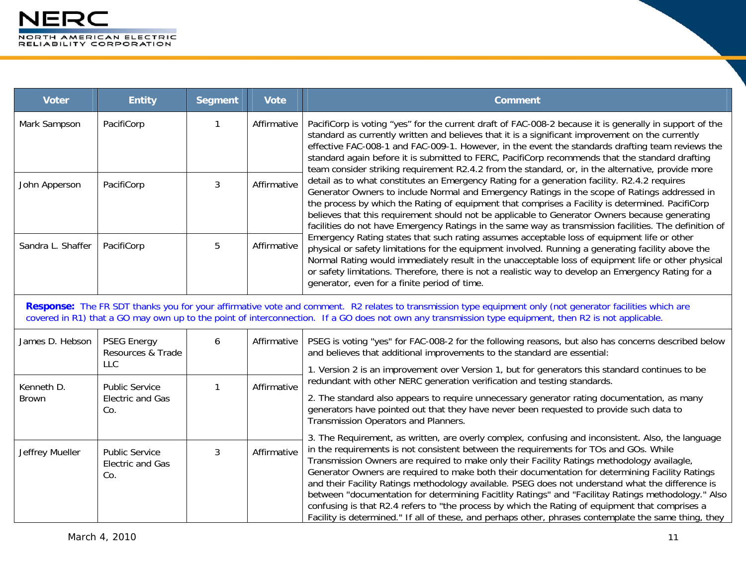| <b>Voter</b>               | <b>Entity</b>                                           | <b>Segment</b> | <b>Vote</b> | <b>Comment</b>                                                                                                                                                                                                                                                                                                                                                                                                                                                                                                                                                                                                                                                                                                                                                                                                        |
|----------------------------|---------------------------------------------------------|----------------|-------------|-----------------------------------------------------------------------------------------------------------------------------------------------------------------------------------------------------------------------------------------------------------------------------------------------------------------------------------------------------------------------------------------------------------------------------------------------------------------------------------------------------------------------------------------------------------------------------------------------------------------------------------------------------------------------------------------------------------------------------------------------------------------------------------------------------------------------|
| Mark Sampson               | PacifiCorp                                              |                | Affirmative | PacifiCorp is voting "yes" for the current draft of FAC-008-2 because it is generally in support of the<br>standard as currently written and believes that it is a significant improvement on the currently<br>effective FAC-008-1 and FAC-009-1. However, in the event the standards drafting team reviews the<br>standard again before it is submitted to FERC, PacifiCorp recommends that the standard drafting<br>team consider striking requirement R2.4.2 from the standard, or, in the alternative, provide more                                                                                                                                                                                                                                                                                               |
| John Apperson              | PacifiCorp                                              | 3              | Affirmative | detail as to what constitutes an Emergency Rating for a generation facility. R2.4.2 requires<br>Generator Owners to include Normal and Emergency Ratings in the scope of Ratings addressed in<br>the process by which the Rating of equipment that comprises a Facility is determined. PacifiCorp<br>believes that this requirement should not be applicable to Generator Owners because generating<br>facilities do not have Emergency Ratings in the same way as transmission facilities. The definition of                                                                                                                                                                                                                                                                                                         |
| Sandra L. Shaffer          | PacifiCorp                                              | 5              | Affirmative | Emergency Rating states that such rating assumes acceptable loss of equipment life or other<br>physical or safety limitations for the equipment involved. Running a generating facility above the<br>Normal Rating would immediately result in the unacceptable loss of equipment life or other physical<br>or safety limitations. Therefore, there is not a realistic way to develop an Emergency Rating for a<br>generator, even for a finite period of time.                                                                                                                                                                                                                                                                                                                                                       |
|                            |                                                         |                |             | Response: The FR SDT thanks you for your affirmative vote and comment. R2 relates to transmission type equipment only (not generator facilities which are<br>covered in R1) that a GO may own up to the point of interconnection. If a GO does not own any transmission type equipment, then R2 is not applicable.                                                                                                                                                                                                                                                                                                                                                                                                                                                                                                    |
| James D. Hebson            | <b>PSEG Energy</b><br>Resources & Trade                 | 6              | Affirmative | PSEG is voting "yes" for FAC-008-2 for the following reasons, but also has concerns described below<br>and believes that additional improvements to the standard are essential:                                                                                                                                                                                                                                                                                                                                                                                                                                                                                                                                                                                                                                       |
|                            | <b>LLC</b>                                              |                | Affirmative | 1. Version 2 is an improvement over Version 1, but for generators this standard continues to be<br>redundant with other NERC generation verification and testing standards.                                                                                                                                                                                                                                                                                                                                                                                                                                                                                                                                                                                                                                           |
| Kenneth D.<br><b>Brown</b> | <b>Public Service</b><br>Electric and Gas<br>Co.        | 1              |             | 2. The standard also appears to require unnecessary generator rating documentation, as many<br>generators have pointed out that they have never been requested to provide such data to<br>Transmission Operators and Planners.                                                                                                                                                                                                                                                                                                                                                                                                                                                                                                                                                                                        |
| Jeffrey Mueller            | <b>Public Service</b><br><b>Electric and Gas</b><br>Co. | 3              | Affirmative | 3. The Requirement, as written, are overly complex, confusing and inconsistent. Also, the language<br>in the requirements is not consistent between the requirements for TOs and GOs. While<br>Transmission Owners are required to make only their Facility Ratings methodology availagle,<br>Generator Owners are required to make both their documentation for determining Facility Ratings<br>and their Facility Ratings methodology available. PSEG does not understand what the difference is<br>between "documentation for determining Facitlity Ratings" and "Facilitay Ratings methodology." Also<br>confusing is that R2.4 refers to "the process by which the Rating of equipment that comprises a<br>Facility is determined." If all of these, and perhaps other, phrases contemplate the same thing, they |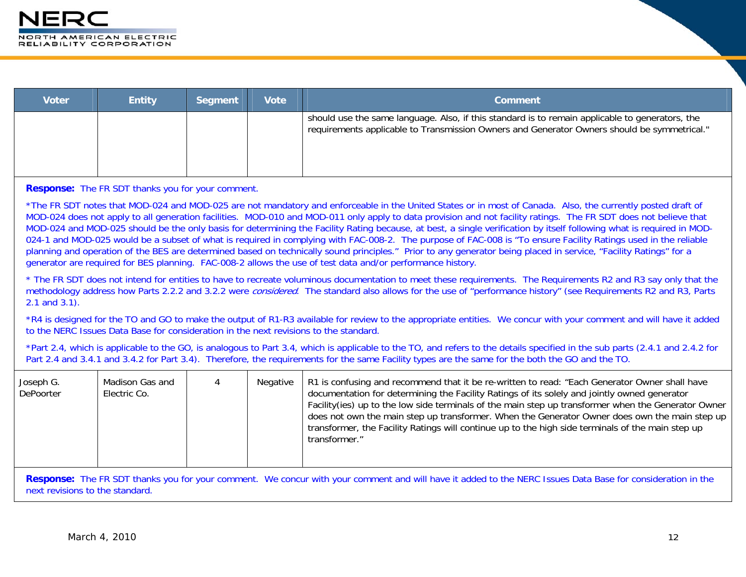| <b>Voter</b> | <b>Entity</b> | <b>Segment</b> | <b>Vote</b> | <b>Comment</b>                                                                                                                                                                                 |
|--------------|---------------|----------------|-------------|------------------------------------------------------------------------------------------------------------------------------------------------------------------------------------------------|
|              |               |                |             | should use the same language. Also, if this standard is to remain applicable to generators, the<br>requirements applicable to Transmission Owners and Generator Owners should be symmetrical." |

**Response:** The FR SDT thanks you for your comment.

\*The FR SDT notes that MOD-024 and MOD-025 are not mandatory and enforceable in the United States or in most of Canada. Also, the currently posted draft of MOD-024 does not apply to all generation facilities. MOD-010 and MOD-011 only apply to data provision and not facility ratings. The FR SDT does not believe that MOD-024 and MOD-025 should be the only basis for determining the Facility Rating because, at best, a single verification by itself following what is required in MOD-024-1 and MOD-025 would be a subset of what is required in complying with FAC-008-2. The purpose of FAC-008 is "To ensure Facility Ratings used in the reliable planning and operation of the BES are determined based on technically sound principles." Prior to any generator being placed in service, "Facility Ratings" for a generator are required for BES planning. FAC-008-2 allows the use of test data and/or performance history.

\* The FR SDT does not intend for entities to have to recreate voluminous documentation to meet these requirements. The Requirements R2 and R3 say only that the methodology address how Parts 2.2.2 and 3.2.2 were *considered*. The standard also allows for the use of "performance history" (see Requirements R2 and R3, Parts 2.1 and 3.1).

\*R4 is designed for the TO and GO to make the output of R1-R3 available for review to the appropriate entities. We concur with your comment and will have it added to the NERC Issues Data Base for consideration in the next revisions to the standard.

\*Part 2.4, which is applicable to the GO, is analogous to Part 3.4, which is applicable to the TO, and refers to the details specified in the sub parts (2.4.1 and 2.4.2 for Part 2.4 and 3.4.1 and 3.4.2 for Part 3.4). Therefore, the requirements for the same Facility types are the same for the both the GO and the TO.

| Joseph G.<br>DePoorter | Madison Gas and<br>Electric Co. |  | Negative | R1 is confusing and recommend that it be re-written to read: "Each Generator Owner shall have<br>documentation for determining the Facility Ratings of its solely and jointly owned generator<br>Facility(ies) up to the low side terminals of the main step up transformer when the Generator Owner<br>does not own the main step up transformer. When the Generator Owner does own the main step up<br>transformer, the Facility Ratings will continue up to the high side terminals of the main step up<br>transformer." |
|------------------------|---------------------------------|--|----------|-----------------------------------------------------------------------------------------------------------------------------------------------------------------------------------------------------------------------------------------------------------------------------------------------------------------------------------------------------------------------------------------------------------------------------------------------------------------------------------------------------------------------------|
|------------------------|---------------------------------|--|----------|-----------------------------------------------------------------------------------------------------------------------------------------------------------------------------------------------------------------------------------------------------------------------------------------------------------------------------------------------------------------------------------------------------------------------------------------------------------------------------------------------------------------------------|

**Response:** The FR SDT thanks you for your comment. We concur with your comment and will have it added to the NERC Issues Data Base for consideration in the next revisions to the standard.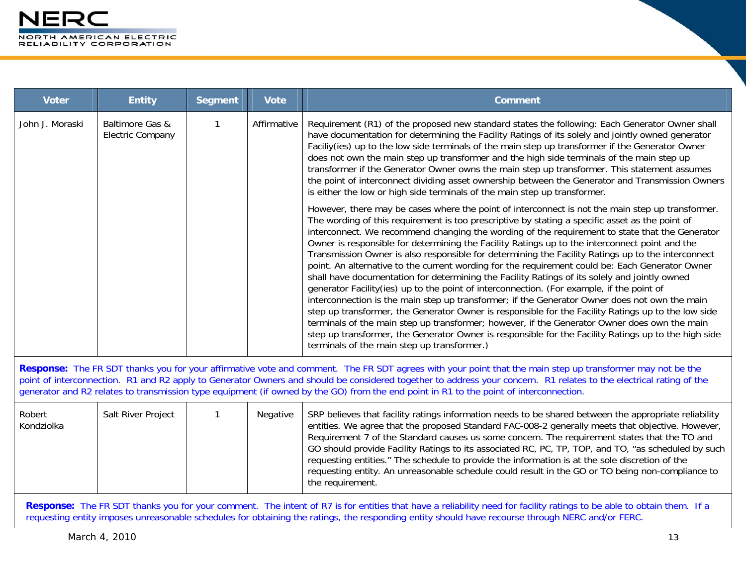| <b>Voter</b>                                                                                                                                                                                                                                                                                                                                                                                                                                                               | <b>Entity</b>                                                                                                                                                                                                                                                                                                            | <b>Segment</b> | <b>Vote</b> | <b>Comment</b>                                                                                                                                                                                                                                                                                                                                                                                                                                                                                                                                                                                                                                                                                                                                                                                                                                                                                                                                                                                                                                                                                                                                                                                                                                                                |  |
|----------------------------------------------------------------------------------------------------------------------------------------------------------------------------------------------------------------------------------------------------------------------------------------------------------------------------------------------------------------------------------------------------------------------------------------------------------------------------|--------------------------------------------------------------------------------------------------------------------------------------------------------------------------------------------------------------------------------------------------------------------------------------------------------------------------|----------------|-------------|-------------------------------------------------------------------------------------------------------------------------------------------------------------------------------------------------------------------------------------------------------------------------------------------------------------------------------------------------------------------------------------------------------------------------------------------------------------------------------------------------------------------------------------------------------------------------------------------------------------------------------------------------------------------------------------------------------------------------------------------------------------------------------------------------------------------------------------------------------------------------------------------------------------------------------------------------------------------------------------------------------------------------------------------------------------------------------------------------------------------------------------------------------------------------------------------------------------------------------------------------------------------------------|--|
| John J. Moraski                                                                                                                                                                                                                                                                                                                                                                                                                                                            | Baltimore Gas &<br><b>Electric Company</b>                                                                                                                                                                                                                                                                               | $\mathbf{1}$   | Affirmative | Requirement (R1) of the proposed new standard states the following: Each Generator Owner shall<br>have documentation for determining the Facility Ratings of its solely and jointly owned generator<br>Faciliy(ies) up to the low side terminals of the main step up transformer if the Generator Owner<br>does not own the main step up transformer and the high side terminals of the main step up<br>transformer if the Generator Owner owns the main step up transformer. This statement assumes<br>the point of interconnect dividing asset ownership between the Generator and Transmission Owners<br>is either the low or high side terminals of the main step up transformer.                                                                                                                                                                                                                                                                                                                                                                                                                                                                                                                                                                                         |  |
|                                                                                                                                                                                                                                                                                                                                                                                                                                                                            |                                                                                                                                                                                                                                                                                                                          |                |             | However, there may be cases where the point of interconnect is not the main step up transformer.<br>The wording of this requirement is too prescriptive by stating a specific asset as the point of<br>interconnect. We recommend changing the wording of the requirement to state that the Generator<br>Owner is responsible for determining the Facility Ratings up to the interconnect point and the<br>Transmission Owner is also responsible for determining the Facility Ratings up to the interconnect<br>point. An alternative to the current wording for the requirement could be: Each Generator Owner<br>shall have documentation for determining the Facility Ratings of its solely and jointly owned<br>generator Facility(ies) up to the point of interconnection. (For example, if the point of<br>interconnection is the main step up transformer; if the Generator Owner does not own the main<br>step up transformer, the Generator Owner is responsible for the Facility Ratings up to the low side<br>terminals of the main step up transformer; however, if the Generator Owner does own the main<br>step up transformer, the Generator Owner is responsible for the Facility Ratings up to the high side<br>terminals of the main step up transformer.) |  |
| Response: The FR SDT thanks you for your affirmative vote and comment. The FR SDT agrees with your point that the main step up transformer may not be the<br>point of interconnection. R1 and R2 apply to Generator Owners and should be considered together to address your concern. R1 relates to the electrical rating of the<br>generator and R2 relates to transmission type equipment (if owned by the GO) from the end point in R1 to the point of interconnection. |                                                                                                                                                                                                                                                                                                                          |                |             |                                                                                                                                                                                                                                                                                                                                                                                                                                                                                                                                                                                                                                                                                                                                                                                                                                                                                                                                                                                                                                                                                                                                                                                                                                                                               |  |
| Robert<br>Kondziolka                                                                                                                                                                                                                                                                                                                                                                                                                                                       | Salt River Project                                                                                                                                                                                                                                                                                                       | $\mathbf{1}$   | Negative    | SRP believes that facility ratings information needs to be shared between the appropriate reliability<br>entities. We agree that the proposed Standard FAC-008-2 generally meets that objective. However,<br>Requirement 7 of the Standard causes us some concern. The requirement states that the TO and<br>GO should provide Facility Ratings to its associated RC, PC, TP, TOP, and TO, "as scheduled by such<br>requesting entities." The schedule to provide the information is at the sole discretion of the<br>requesting entity. An unreasonable schedule could result in the GO or TO being non-compliance to<br>the requirement.                                                                                                                                                                                                                                                                                                                                                                                                                                                                                                                                                                                                                                    |  |
|                                                                                                                                                                                                                                                                                                                                                                                                                                                                            | Response: The FR SDT thanks you for your comment. The intent of R7 is for entities that have a reliability need for facility ratings to be able to obtain them. If a<br>requesting entity imposes unreasonable schedules for obtaining the ratings, the responding entity should have recourse through NERC and/or FERC. |                |             |                                                                                                                                                                                                                                                                                                                                                                                                                                                                                                                                                                                                                                                                                                                                                                                                                                                                                                                                                                                                                                                                                                                                                                                                                                                                               |  |
|                                                                                                                                                                                                                                                                                                                                                                                                                                                                            | March 4, 2010                                                                                                                                                                                                                                                                                                            |                |             | 13                                                                                                                                                                                                                                                                                                                                                                                                                                                                                                                                                                                                                                                                                                                                                                                                                                                                                                                                                                                                                                                                                                                                                                                                                                                                            |  |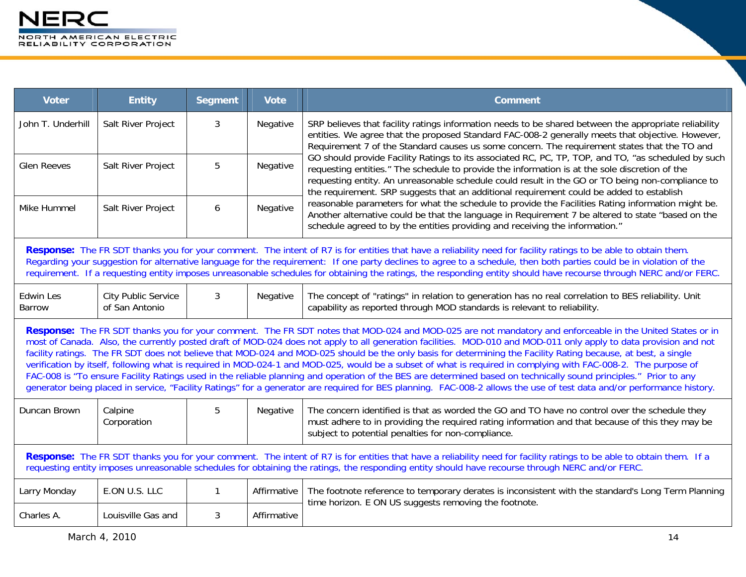| <b>Voter</b>                                                                                                                                                                                                                                                                                                                                                                                                                                                                                                                                                                                                                                                                                                                                                                                                                                                                                                                                                                                                     | <b>Entity</b>                                | <b>Segment</b> | <b>Vote</b> | <b>Comment</b>                                                                                                                                                                                                                                                                                                                                                                                        |  |
|------------------------------------------------------------------------------------------------------------------------------------------------------------------------------------------------------------------------------------------------------------------------------------------------------------------------------------------------------------------------------------------------------------------------------------------------------------------------------------------------------------------------------------------------------------------------------------------------------------------------------------------------------------------------------------------------------------------------------------------------------------------------------------------------------------------------------------------------------------------------------------------------------------------------------------------------------------------------------------------------------------------|----------------------------------------------|----------------|-------------|-------------------------------------------------------------------------------------------------------------------------------------------------------------------------------------------------------------------------------------------------------------------------------------------------------------------------------------------------------------------------------------------------------|--|
| John T. Underhill                                                                                                                                                                                                                                                                                                                                                                                                                                                                                                                                                                                                                                                                                                                                                                                                                                                                                                                                                                                                | Salt River Project                           | 3              | Negative    | SRP believes that facility ratings information needs to be shared between the appropriate reliability<br>entities. We agree that the proposed Standard FAC-008-2 generally meets that objective. However,<br>Requirement 7 of the Standard causes us some concern. The requirement states that the TO and                                                                                             |  |
| <b>Glen Reeves</b>                                                                                                                                                                                                                                                                                                                                                                                                                                                                                                                                                                                                                                                                                                                                                                                                                                                                                                                                                                                               | Salt River Project                           | 5              | Negative    | GO should provide Facility Ratings to its associated RC, PC, TP, TOP, and TO, "as scheduled by such<br>requesting entities." The schedule to provide the information is at the sole discretion of the<br>requesting entity. An unreasonable schedule could result in the GO or TO being non-compliance to<br>the requirement. SRP suggests that an additional requirement could be added to establish |  |
| Mike Hummel                                                                                                                                                                                                                                                                                                                                                                                                                                                                                                                                                                                                                                                                                                                                                                                                                                                                                                                                                                                                      | Salt River Project                           | 6              | Negative    | reasonable parameters for what the schedule to provide the Facilities Rating information might be.<br>Another alternative could be that the language in Requirement 7 be altered to state "based on the<br>schedule agreed to by the entities providing and receiving the information."                                                                                                               |  |
| Response: The FR SDT thanks you for your comment. The intent of R7 is for entities that have a reliability need for facility ratings to be able to obtain them.<br>Regarding your suggestion for alternative language for the requirement: If one party declines to agree to a schedule, then both parties could be in violation of the<br>requirement. If a requesting entity imposes unreasonable schedules for obtaining the ratings, the responding entity should have recourse through NERC and/or FERC.                                                                                                                                                                                                                                                                                                                                                                                                                                                                                                    |                                              |                |             |                                                                                                                                                                                                                                                                                                                                                                                                       |  |
| <b>Edwin Les</b><br>Barrow                                                                                                                                                                                                                                                                                                                                                                                                                                                                                                                                                                                                                                                                                                                                                                                                                                                                                                                                                                                       | <b>City Public Service</b><br>of San Antonio | 3              | Negative    | The concept of "ratings" in relation to generation has no real correlation to BES reliability. Unit<br>capability as reported through MOD standards is relevant to reliability.                                                                                                                                                                                                                       |  |
| Response: The FR SDT thanks you for your comment. The FR SDT notes that MOD-024 and MOD-025 are not mandatory and enforceable in the United States or in<br>most of Canada. Also, the currently posted draft of MOD-024 does not apply to all generation facilities. MOD-010 and MOD-011 only apply to data provision and not<br>facility ratings. The FR SDT does not believe that MOD-024 and MOD-025 should be the only basis for determining the Facility Rating because, at best, a single<br>verification by itself, following what is required in MOD-024-1 and MOD-025, would be a subset of what is required in complying with FAC-008-2. The purpose of<br>FAC-008 is "To ensure Facility Ratings used in the reliable planning and operation of the BES are determined based on technically sound principles." Prior to any<br>generator being placed in service, "Facility Ratings" for a generator are required for BES planning. FAC-008-2 allows the use of test data and/or performance history. |                                              |                |             |                                                                                                                                                                                                                                                                                                                                                                                                       |  |
| Duncan Brown                                                                                                                                                                                                                                                                                                                                                                                                                                                                                                                                                                                                                                                                                                                                                                                                                                                                                                                                                                                                     | Calpine<br>Corporation                       | 5              | Negative    | The concern identified is that as worded the GO and TO have no control over the schedule they<br>must adhere to in providing the required rating information and that because of this they may be<br>subject to potential penalties for non-compliance.                                                                                                                                               |  |
| Response: The FR SDT thanks you for your comment. The intent of R7 is for entities that have a reliability need for facility ratings to be able to obtain them. If a<br>requesting entity imposes unreasonable schedules for obtaining the ratings, the responding entity should have recourse through NERC and/or FERC.                                                                                                                                                                                                                                                                                                                                                                                                                                                                                                                                                                                                                                                                                         |                                              |                |             |                                                                                                                                                                                                                                                                                                                                                                                                       |  |
| Larry Monday                                                                                                                                                                                                                                                                                                                                                                                                                                                                                                                                                                                                                                                                                                                                                                                                                                                                                                                                                                                                     | E.ON U.S. LLC                                | 1              | Affirmative | The footnote reference to temporary derates is inconsistent with the standard's Long Term Planning<br>time horizon. E ON US suggests removing the footnote.                                                                                                                                                                                                                                           |  |
| Charles A.                                                                                                                                                                                                                                                                                                                                                                                                                                                                                                                                                                                                                                                                                                                                                                                                                                                                                                                                                                                                       | Louisville Gas and                           | 3              | Affirmative |                                                                                                                                                                                                                                                                                                                                                                                                       |  |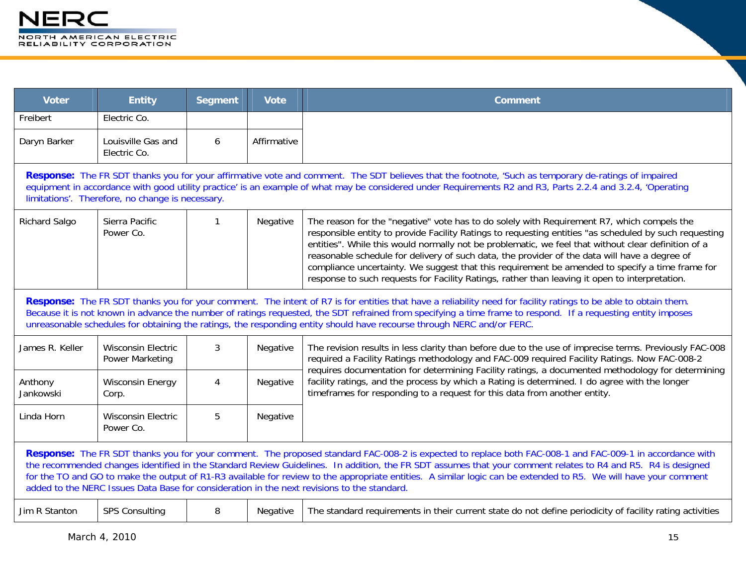| <b>Voter</b>                                                                                                                                                                                                                                                                                                                                                                                                                                                                                                                                                                                | <b>Entity</b>                                                                                                                                                                                                                                                                                                                                                           | <b>Segment</b> | <b>Vote</b> | <b>Comment</b>                                                                                                                                                                                                                                                                                                                                                                                                                                                                                                                                                                                                    |  |  |
|---------------------------------------------------------------------------------------------------------------------------------------------------------------------------------------------------------------------------------------------------------------------------------------------------------------------------------------------------------------------------------------------------------------------------------------------------------------------------------------------------------------------------------------------------------------------------------------------|-------------------------------------------------------------------------------------------------------------------------------------------------------------------------------------------------------------------------------------------------------------------------------------------------------------------------------------------------------------------------|----------------|-------------|-------------------------------------------------------------------------------------------------------------------------------------------------------------------------------------------------------------------------------------------------------------------------------------------------------------------------------------------------------------------------------------------------------------------------------------------------------------------------------------------------------------------------------------------------------------------------------------------------------------------|--|--|
| Freibert                                                                                                                                                                                                                                                                                                                                                                                                                                                                                                                                                                                    | Electric Co.                                                                                                                                                                                                                                                                                                                                                            |                |             |                                                                                                                                                                                                                                                                                                                                                                                                                                                                                                                                                                                                                   |  |  |
| Daryn Barker                                                                                                                                                                                                                                                                                                                                                                                                                                                                                                                                                                                | Louisville Gas and<br>Electric Co.                                                                                                                                                                                                                                                                                                                                      | 6              | Affirmative |                                                                                                                                                                                                                                                                                                                                                                                                                                                                                                                                                                                                                   |  |  |
|                                                                                                                                                                                                                                                                                                                                                                                                                                                                                                                                                                                             | Response: The FR SDT thanks you for your affirmative vote and comment. The SDT believes that the footnote, 'Such as temporary de-ratings of impaired<br>equipment in accordance with good utility practice' is an example of what may be considered under Requirements R2 and R3, Parts 2.2.4 and 3.2.4, 'Operating<br>limitations'. Therefore, no change is necessary. |                |             |                                                                                                                                                                                                                                                                                                                                                                                                                                                                                                                                                                                                                   |  |  |
| Richard Salgo                                                                                                                                                                                                                                                                                                                                                                                                                                                                                                                                                                               | Sierra Pacific<br>Power Co.                                                                                                                                                                                                                                                                                                                                             | ำ              | Negative    | The reason for the "negative" vote has to do solely with Requirement R7, which compels the<br>responsible entity to provide Facility Ratings to requesting entities "as scheduled by such requesting<br>entities". While this would normally not be problematic, we feel that without clear definition of a<br>reasonable schedule for delivery of such data, the provider of the data will have a degree of<br>compliance uncertainty. We suggest that this requirement be amended to specify a time frame for<br>response to such requests for Facility Ratings, rather than leaving it open to interpretation. |  |  |
| Response: The FR SDT thanks you for your comment. The intent of R7 is for entities that have a reliability need for facility ratings to be able to obtain them.<br>Because it is not known in advance the number of ratings requested, the SDT refrained from specifying a time frame to respond. If a requesting entity imposes<br>unreasonable schedules for obtaining the ratings, the responding entity should have recourse through NERC and/or FERC.                                                                                                                                  |                                                                                                                                                                                                                                                                                                                                                                         |                |             |                                                                                                                                                                                                                                                                                                                                                                                                                                                                                                                                                                                                                   |  |  |
| James R. Keller                                                                                                                                                                                                                                                                                                                                                                                                                                                                                                                                                                             | <b>Wisconsin Electric</b><br><b>Power Marketing</b>                                                                                                                                                                                                                                                                                                                     | $\mathbf{3}$   | Negative    | The revision results in less clarity than before due to the use of imprecise terms. Previously FAC-008<br>required a Facility Ratings methodology and FAC-009 required Facility Ratings. Now FAC-008-2<br>requires documentation for determining Facility ratings, a documented methodology for determining                                                                                                                                                                                                                                                                                                       |  |  |
| Anthony<br>Jankowski                                                                                                                                                                                                                                                                                                                                                                                                                                                                                                                                                                        | <b>Wisconsin Energy</b><br>Corp.                                                                                                                                                                                                                                                                                                                                        | 4              | Negative    | facility ratings, and the process by which a Rating is determined. I do agree with the longer<br>timeframes for responding to a request for this data from another entity.                                                                                                                                                                                                                                                                                                                                                                                                                                        |  |  |
| Linda Horn                                                                                                                                                                                                                                                                                                                                                                                                                                                                                                                                                                                  | <b>Wisconsin Electric</b><br>Power Co.                                                                                                                                                                                                                                                                                                                                  | 5              | Negative    |                                                                                                                                                                                                                                                                                                                                                                                                                                                                                                                                                                                                                   |  |  |
| Response: The FR SDT thanks you for your comment. The proposed standard FAC-008-2 is expected to replace both FAC-008-1 and FAC-009-1 in accordance with<br>the recommended changes identified in the Standard Review Guidelines. In addition, the FR SDT assumes that your comment relates to R4 and R5. R4 is designed<br>for the TO and GO to make the output of R1-R3 available for review to the appropriate entities. A similar logic can be extended to R5. We will have your comment<br>added to the NERC Issues Data Base for consideration in the next revisions to the standard. |                                                                                                                                                                                                                                                                                                                                                                         |                |             |                                                                                                                                                                                                                                                                                                                                                                                                                                                                                                                                                                                                                   |  |  |
| Jim R Stanton                                                                                                                                                                                                                                                                                                                                                                                                                                                                                                                                                                               | <b>SPS Consulting</b>                                                                                                                                                                                                                                                                                                                                                   | 8              | Negative    | The standard requirements in their current state do not define periodicity of facility rating activities                                                                                                                                                                                                                                                                                                                                                                                                                                                                                                          |  |  |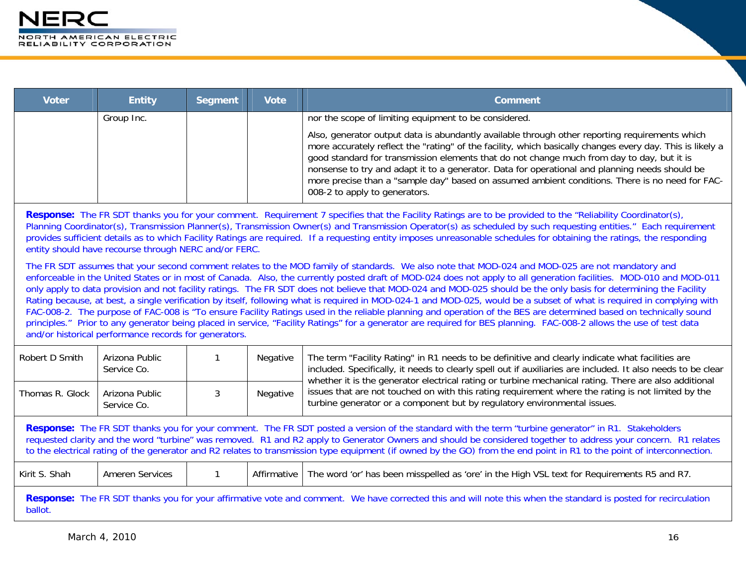| <b>Voter</b> | <b>Entity</b> | Segment | <b>Vote</b> | <b>Comment</b>                                                                                                                                                                                                                                                                                                                                                                                                                                                                                                                                  |
|--------------|---------------|---------|-------------|-------------------------------------------------------------------------------------------------------------------------------------------------------------------------------------------------------------------------------------------------------------------------------------------------------------------------------------------------------------------------------------------------------------------------------------------------------------------------------------------------------------------------------------------------|
|              | Group Inc.    |         |             | nor the scope of limiting equipment to be considered.                                                                                                                                                                                                                                                                                                                                                                                                                                                                                           |
|              |               |         |             | Also, generator output data is abundantly available through other reporting requirements which<br>more accurately reflect the "rating" of the facility, which basically changes every day. This is likely a<br>good standard for transmission elements that do not change much from day to day, but it is<br>nonsense to try and adapt it to a generator. Data for operational and planning needs should be<br>more precise than a "sample day" based on assumed ambient conditions. There is no need for FAC-<br>008-2 to apply to generators. |

**Response:** The FR SDT thanks you for your comment. Requirement 7 specifies that the Facility Ratings are to be provided to the "Reliability Coordinator(s), Planning Coordinator(s), Transmission Planner(s), Transmission Owner(s) and Transmission Operator(s) as scheduled by such requesting entities." Each requirement provides sufficient details as to which Facility Ratings are required. If a requesting entity imposes unreasonable schedules for obtaining the ratings, the responding entity should have recourse through NERC and/or FERC.

The FR SDT assumes that your second comment relates to the MOD family of standards. We also note that MOD-024 and MOD-025 are not mandatory and enforceable in the United States or in most of Canada. Also, the currently posted draft of MOD-024 does not apply to all generation facilities. MOD-010 and MOD-011 only apply to data provision and not facility ratings. The FR SDT does not believe that MOD-024 and MOD-025 should be the only basis for determining the Facility Rating because, at best, a single verification by itself, following what is required in MOD-024-1 and MOD-025, would be a subset of what is required in complying with FAC-008-2. The purpose of FAC-008 is "To ensure Facility Ratings used in the reliable planning and operation of the BES are determined based on technically sound principles." Prior to any generator being placed in service, "Facility Ratings" for a generator are required for BES planning. FAC-008-2 allows the use of test data and/or historical performance records for generators.

| Robert D Smith                                                                                                                                                                                                                                                                                                                                                                                                                                                                                   | Arizona Public<br>Service Co. |  | Negative | The term "Facility Rating" in R1 needs to be definitive and clearly indicate what facilities are<br>included. Specifically, it needs to clearly spell out if auxiliaries are included. It also needs to be clear<br>whether it is the generator electrical rating or turbine mechanical rating. There are also additional |  |  |
|--------------------------------------------------------------------------------------------------------------------------------------------------------------------------------------------------------------------------------------------------------------------------------------------------------------------------------------------------------------------------------------------------------------------------------------------------------------------------------------------------|-------------------------------|--|----------|---------------------------------------------------------------------------------------------------------------------------------------------------------------------------------------------------------------------------------------------------------------------------------------------------------------------------|--|--|
| Thomas R. Glock                                                                                                                                                                                                                                                                                                                                                                                                                                                                                  | Arizona Public<br>Service Co. |  | Negative | issues that are not touched on with this rating requirement where the rating is not limited by the<br>turbine generator or a component but by regulatory environmental issues.                                                                                                                                            |  |  |
| Response: The FR SDT thanks you for your comment. The FR SDT posted a version of the standard with the term "turbine generator" in R1. Stakeholders<br>requested clarity and the word "turbine" was removed. R1 and R2 apply to Generator Owners and should be considered together to address your concern. R1 relates<br>to the electrical rating of the generator and R2 relates to transmission type equipment (if owned by the GO) from the end point in R1 to the point of interconnection. |                               |  |          |                                                                                                                                                                                                                                                                                                                           |  |  |
| The word 'or' has been misspelled as 'ore' in the High VSL text for Requirements R5 and R7.<br>Kirit S. Shah<br>Ameren Services<br>Affirmative                                                                                                                                                                                                                                                                                                                                                   |                               |  |          |                                                                                                                                                                                                                                                                                                                           |  |  |
| Response: The FR SDT thanks you for your affirmative vote and comment. We have corrected this and will note this when the standard is posted for recirculation                                                                                                                                                                                                                                                                                                                                   |                               |  |          |                                                                                                                                                                                                                                                                                                                           |  |  |

ballot.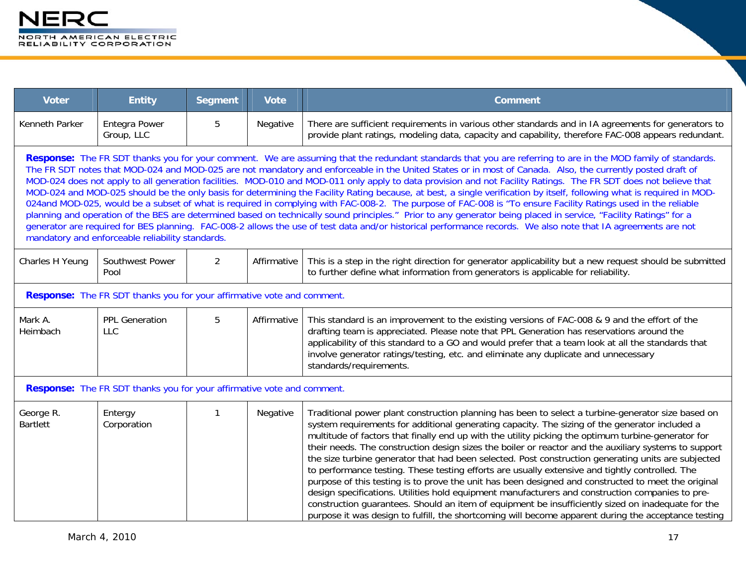| <b>Voter</b>                                                                                                                                                                                                                                                                                                                                                                                                                                                                                                                                                                                                                                                                                                                                                                                                                                                                                                                                                                                                                                                                                                                                                                                                                        | <b>Entity</b>                                                                 | <b>Segment</b> | <b>Vote</b> | <b>Comment</b>                                                                                                                                                                                                                                                                                                                                                                                                                                                                                                                                                                                                                                                                                                                                                                                                                                                                                                                                                                                                                                          |  |
|-------------------------------------------------------------------------------------------------------------------------------------------------------------------------------------------------------------------------------------------------------------------------------------------------------------------------------------------------------------------------------------------------------------------------------------------------------------------------------------------------------------------------------------------------------------------------------------------------------------------------------------------------------------------------------------------------------------------------------------------------------------------------------------------------------------------------------------------------------------------------------------------------------------------------------------------------------------------------------------------------------------------------------------------------------------------------------------------------------------------------------------------------------------------------------------------------------------------------------------|-------------------------------------------------------------------------------|----------------|-------------|---------------------------------------------------------------------------------------------------------------------------------------------------------------------------------------------------------------------------------------------------------------------------------------------------------------------------------------------------------------------------------------------------------------------------------------------------------------------------------------------------------------------------------------------------------------------------------------------------------------------------------------------------------------------------------------------------------------------------------------------------------------------------------------------------------------------------------------------------------------------------------------------------------------------------------------------------------------------------------------------------------------------------------------------------------|--|
| Kenneth Parker                                                                                                                                                                                                                                                                                                                                                                                                                                                                                                                                                                                                                                                                                                                                                                                                                                                                                                                                                                                                                                                                                                                                                                                                                      | Entegra Power<br>Group, LLC                                                   | 5              | Negative    | There are sufficient requirements in various other standards and in IA agreements for generators to<br>provide plant ratings, modeling data, capacity and capability, therefore FAC-008 appears redundant.                                                                                                                                                                                                                                                                                                                                                                                                                                                                                                                                                                                                                                                                                                                                                                                                                                              |  |
| Response: The FR SDT thanks you for your comment. We are assuming that the redundant standards that you are referring to are in the MOD family of standards.<br>The FR SDT notes that MOD-024 and MOD-025 are not mandatory and enforceable in the United States or in most of Canada. Also, the currently posted draft of<br>MOD-024 does not apply to all generation facilities. MOD-010 and MOD-011 only apply to data provision and not Facility Ratings. The FR SDT does not believe that<br>MOD-024 and MOD-025 should be the only basis for determining the Facility Rating because, at best, a single verification by itself, following what is required in MOD-<br>024and MOD-025, would be a subset of what is required in complying with FAC-008-2. The purpose of FAC-008 is "To ensure Facility Ratings used in the reliable<br>planning and operation of the BES are determined based on technically sound principles." Prior to any generator being placed in service, "Facility Ratings" for a<br>generator are required for BES planning. FAC-008-2 allows the use of test data and/or historical performance records. We also note that IA agreements are not<br>mandatory and enforceable reliability standards. |                                                                               |                |             |                                                                                                                                                                                                                                                                                                                                                                                                                                                                                                                                                                                                                                                                                                                                                                                                                                                                                                                                                                                                                                                         |  |
| Charles H Yeung                                                                                                                                                                                                                                                                                                                                                                                                                                                                                                                                                                                                                                                                                                                                                                                                                                                                                                                                                                                                                                                                                                                                                                                                                     | Southwest Power<br>Pool                                                       | 2              | Affirmative | This is a step in the right direction for generator applicability but a new request should be submitted<br>to further define what information from generators is applicable for reliability.                                                                                                                                                                                                                                                                                                                                                                                                                                                                                                                                                                                                                                                                                                                                                                                                                                                            |  |
|                                                                                                                                                                                                                                                                                                                                                                                                                                                                                                                                                                                                                                                                                                                                                                                                                                                                                                                                                                                                                                                                                                                                                                                                                                     | <b>Response:</b> The FR SDT thanks you for your affirmative vote and comment. |                |             |                                                                                                                                                                                                                                                                                                                                                                                                                                                                                                                                                                                                                                                                                                                                                                                                                                                                                                                                                                                                                                                         |  |
| Mark A.<br>Heimbach                                                                                                                                                                                                                                                                                                                                                                                                                                                                                                                                                                                                                                                                                                                                                                                                                                                                                                                                                                                                                                                                                                                                                                                                                 | <b>PPL Generation</b><br><b>LLC</b>                                           | 5              | Affirmative | This standard is an improvement to the existing versions of FAC-008 & 9 and the effort of the<br>drafting team is appreciated. Please note that PPL Generation has reservations around the<br>applicability of this standard to a GO and would prefer that a team look at all the standards that<br>involve generator ratings/testing, etc. and eliminate any duplicate and unnecessary<br>standards/requirements.                                                                                                                                                                                                                                                                                                                                                                                                                                                                                                                                                                                                                                      |  |
|                                                                                                                                                                                                                                                                                                                                                                                                                                                                                                                                                                                                                                                                                                                                                                                                                                                                                                                                                                                                                                                                                                                                                                                                                                     | Response: The FR SDT thanks you for your affirmative vote and comment.        |                |             |                                                                                                                                                                                                                                                                                                                                                                                                                                                                                                                                                                                                                                                                                                                                                                                                                                                                                                                                                                                                                                                         |  |
| George R.<br><b>Bartlett</b>                                                                                                                                                                                                                                                                                                                                                                                                                                                                                                                                                                                                                                                                                                                                                                                                                                                                                                                                                                                                                                                                                                                                                                                                        | Entergy<br>Corporation                                                        | 1              | Negative    | Traditional power plant construction planning has been to select a turbine-generator size based on<br>system requirements for additional generating capacity. The sizing of the generator included a<br>multitude of factors that finally end up with the utility picking the optimum turbine-generator for<br>their needs. The construction design sizes the boiler or reactor and the auxiliary systems to support<br>the size turbine generator that had been selected. Post construction generating units are subjected<br>to performance testing. These testing efforts are usually extensive and tightly controlled. The<br>purpose of this testing is to prove the unit has been designed and constructed to meet the original<br>design specifications. Utilities hold equipment manufacturers and construction companies to pre-<br>construction guarantees. Should an item of equipment be insufficiently sized on inadequate for the<br>purpose it was design to fulfill, the shortcoming will become apparent during the acceptance testing |  |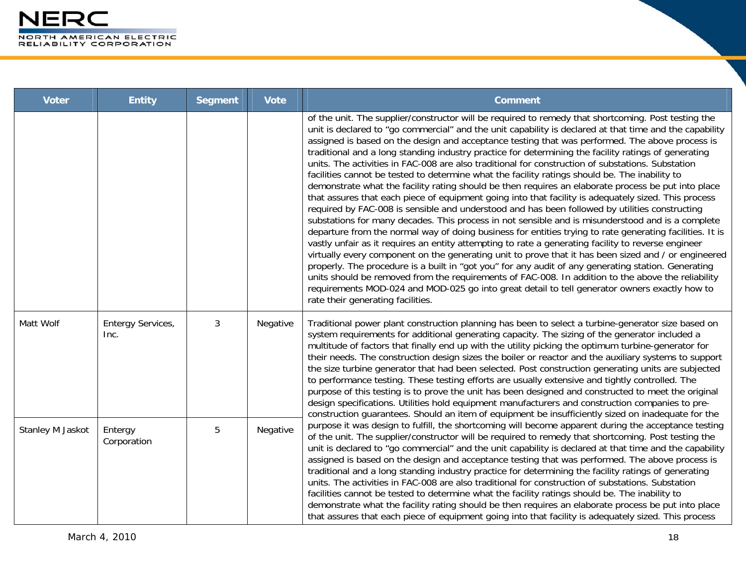| <b>Voter</b>     | <b>Entity</b>             | <b>Segment</b> | <b>Vote</b> | <b>Comment</b>                                                                                                                                                                                                                                                                                                                                                                                                                                                                                                                                                                                                                                                                                                                                                                                                                                                                                                                                                                                                                                                                                                                                                                                                                                                                                                                                                                                                                                                                                                                                                                                                                                                                                                                       |
|------------------|---------------------------|----------------|-------------|--------------------------------------------------------------------------------------------------------------------------------------------------------------------------------------------------------------------------------------------------------------------------------------------------------------------------------------------------------------------------------------------------------------------------------------------------------------------------------------------------------------------------------------------------------------------------------------------------------------------------------------------------------------------------------------------------------------------------------------------------------------------------------------------------------------------------------------------------------------------------------------------------------------------------------------------------------------------------------------------------------------------------------------------------------------------------------------------------------------------------------------------------------------------------------------------------------------------------------------------------------------------------------------------------------------------------------------------------------------------------------------------------------------------------------------------------------------------------------------------------------------------------------------------------------------------------------------------------------------------------------------------------------------------------------------------------------------------------------------|
|                  |                           |                |             | of the unit. The supplier/constructor will be required to remedy that shortcoming. Post testing the<br>unit is declared to "go commercial" and the unit capability is declared at that time and the capability<br>assigned is based on the design and acceptance testing that was performed. The above process is<br>traditional and a long standing industry practice for determining the facility ratings of generating<br>units. The activities in FAC-008 are also traditional for construction of substations. Substation<br>facilities cannot be tested to determine what the facility ratings should be. The inability to<br>demonstrate what the facility rating should be then requires an elaborate process be put into place<br>that assures that each piece of equipment going into that facility is adequately sized. This process<br>required by FAC-008 is sensible and understood and has been followed by utilities constructing<br>substations for many decades. This process in not sensible and is misunderstood and is a complete<br>departure from the normal way of doing business for entities trying to rate generating facilities. It is<br>vastly unfair as it requires an entity attempting to rate a generating facility to reverse engineer<br>virtually every component on the generating unit to prove that it has been sized and / or engineered<br>properly. The procedure is a built in "got you" for any audit of any generating station. Generating<br>units should be removed from the requirements of FAC-008. In addition to the above the reliability<br>requirements MOD-024 and MOD-025 go into great detail to tell generator owners exactly how to<br>rate their generating facilities. |
| Matt Wolf        | Entergy Services,<br>Inc. | $\mathfrak{Z}$ | Negative    | Traditional power plant construction planning has been to select a turbine-generator size based on<br>system requirements for additional generating capacity. The sizing of the generator included a<br>multitude of factors that finally end up with the utility picking the optimum turbine-generator for<br>their needs. The construction design sizes the boiler or reactor and the auxiliary systems to support<br>the size turbine generator that had been selected. Post construction generating units are subjected<br>to performance testing. These testing efforts are usually extensive and tightly controlled. The<br>purpose of this testing is to prove the unit has been designed and constructed to meet the original<br>design specifications. Utilities hold equipment manufacturers and construction companies to pre-<br>construction guarantees. Should an item of equipment be insufficiently sized on inadequate for the                                                                                                                                                                                                                                                                                                                                                                                                                                                                                                                                                                                                                                                                                                                                                                                      |
| Stanley M Jaskot | Entergy<br>Corporation    | 5              | Negative    | purpose it was design to fulfill, the shortcoming will become apparent during the acceptance testing<br>of the unit. The supplier/constructor will be required to remedy that shortcoming. Post testing the<br>unit is declared to "go commercial" and the unit capability is declared at that time and the capability<br>assigned is based on the design and acceptance testing that was performed. The above process is<br>traditional and a long standing industry practice for determining the facility ratings of generating<br>units. The activities in FAC-008 are also traditional for construction of substations. Substation<br>facilities cannot be tested to determine what the facility ratings should be. The inability to<br>demonstrate what the facility rating should be then requires an elaborate process be put into place<br>that assures that each piece of equipment going into that facility is adequately sized. This process                                                                                                                                                                                                                                                                                                                                                                                                                                                                                                                                                                                                                                                                                                                                                                              |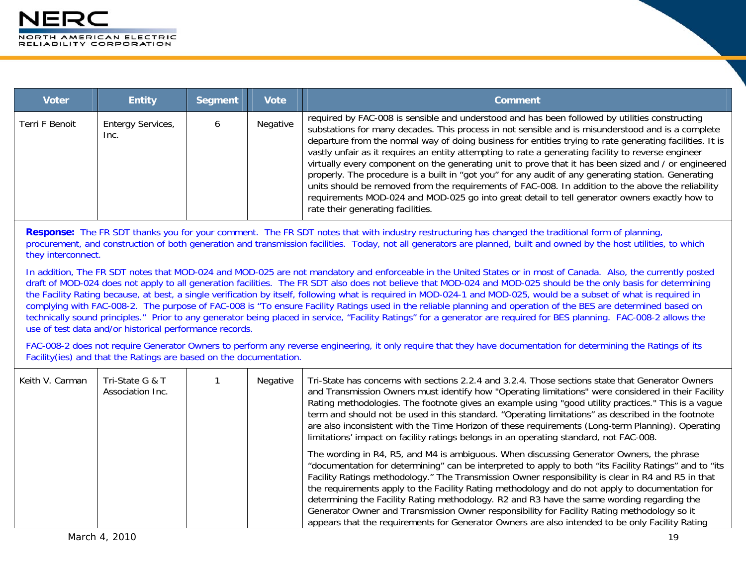| <b>Voter</b>   | <b>Entity</b>             | Segment | <b>Vote</b> | <b>Comment</b>                                                                                                                                                                                                                                                                                                                                                                                                                                                                                                                                                                                                                                                                                                                                                                                                                                                                    |
|----------------|---------------------------|---------|-------------|-----------------------------------------------------------------------------------------------------------------------------------------------------------------------------------------------------------------------------------------------------------------------------------------------------------------------------------------------------------------------------------------------------------------------------------------------------------------------------------------------------------------------------------------------------------------------------------------------------------------------------------------------------------------------------------------------------------------------------------------------------------------------------------------------------------------------------------------------------------------------------------|
| Terri F Benoit | Entergy Services,<br>Inc. |         | Negative    | required by FAC-008 is sensible and understood and has been followed by utilities constructing<br>substations for many decades. This process in not sensible and is misunderstood and is a complete<br>departure from the normal way of doing business for entities trying to rate generating facilities. It is<br>vastly unfair as it requires an entity attempting to rate a generating facility to reverse engineer<br>virtually every component on the generating unit to prove that it has been sized and / or engineered<br>properly. The procedure is a built in "got you" for any audit of any generating station. Generating<br>units should be removed from the requirements of FAC-008. In addition to the above the reliability<br>requirements MOD-024 and MOD-025 go into great detail to tell generator owners exactly how to<br>rate their generating facilities. |

**Response:** The FR SDT thanks you for your comment. The FR SDT notes that with industry restructuring has changed the traditional form of planning, procurement, and construction of both generation and transmission facilities. Today, not all generators are planned, built and owned by the host utilities, to which they interconnect.

In addition, The FR SDT notes that MOD-024 and MOD-025 are not mandatory and enforceable in the United States or in most of Canada. Also, the currently posted draft of MOD-024 does not apply to all generation facilities. The FR SDT also does not believe that MOD-024 and MOD-025 should be the only basis for determining the Facility Rating because, at best, a single verification by itself, following what is required in MOD-024-1 and MOD-025, would be a subset of what is required in complying with FAC-008-2. The purpose of FAC-008 is "To ensure Facility Ratings used in the reliable planning and operation of the BES are determined based on technically sound principles." Prior to any generator being placed in service, "Facility Ratings" for a generator are required for BES planning. FAC-008-2 allows the use of test data and/or historical performance records.

FAC-008-2 does not require Generator Owners to perform any reverse engineering, it only require that they have documentation for determining the Ratings of its Facility(ies) and that the Ratings are based on the documentation.

| Keith V. Carman | Tri-State G & T<br>Association Inc. | Negative | Tri-State has concerns with sections 2.2.4 and 3.2.4. Those sections state that Generator Owners<br>and Transmission Owners must identify how "Operating limitations" were considered in their Facility<br>Rating methodologies. The footnote gives an example using "good utility practices." This is a vague<br>term and should not be used in this standard. "Operating limitations" as described in the footnote<br>are also inconsistent with the Time Horizon of these requirements (Long-term Planning). Operating<br>limitations' impact on facility ratings belongs in an operating standard, not FAC-008.                                                                                         |
|-----------------|-------------------------------------|----------|-------------------------------------------------------------------------------------------------------------------------------------------------------------------------------------------------------------------------------------------------------------------------------------------------------------------------------------------------------------------------------------------------------------------------------------------------------------------------------------------------------------------------------------------------------------------------------------------------------------------------------------------------------------------------------------------------------------|
|                 |                                     |          | The wording in R4, R5, and M4 is ambiguous. When discussing Generator Owners, the phrase<br>"documentation for determining" can be interpreted to apply to both "its Facility Ratings" and to "its<br>Facility Ratings methodology." The Transmission Owner responsibility is clear in R4 and R5 in that<br>the requirements apply to the Facility Rating methodology and do not apply to documentation for<br>determining the Facility Rating methodology. R2 and R3 have the same wording regarding the<br>Generator Owner and Transmission Owner responsibility for Facility Rating methodology so it<br>appears that the requirements for Generator Owners are also intended to be only Facility Rating |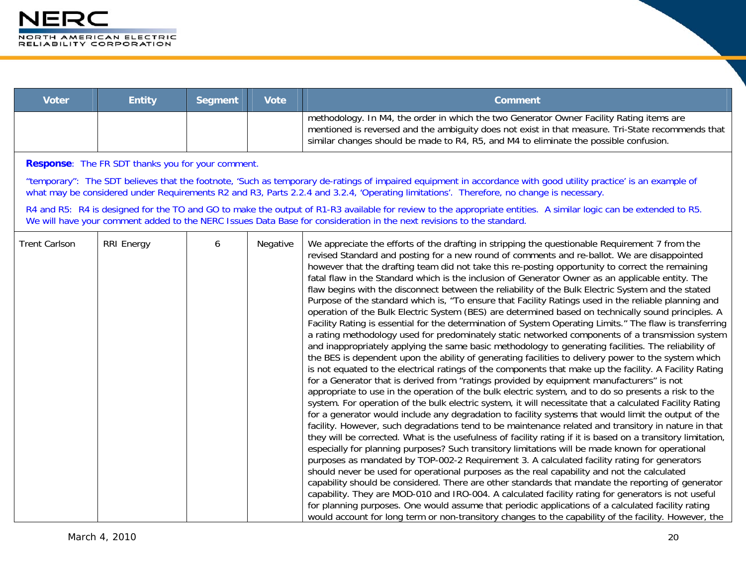| Voter | <b>Entity</b> | <b>Seament</b> | Vote <sup>1</sup> | Comment                                                                                                                                                                                                                                                                                |
|-------|---------------|----------------|-------------------|----------------------------------------------------------------------------------------------------------------------------------------------------------------------------------------------------------------------------------------------------------------------------------------|
|       |               |                |                   | methodology. In M4, the order in which the two Generator Owner Facility Rating items are<br>mentioned is reversed and the ambiguity does not exist in that measure. Tri-State recommends that<br>similar changes should be made to R4, R5, and M4 to eliminate the possible confusion. |

**Response**: The FR SDT thanks you for your comment.

"temporary": The SDT believes that the footnote, 'Such as temporary de-ratings of impaired equipment in accordance with good utility practice' is an example of what may be considered under Requirements R2 and R3, Parts 2.2.4 and 3.2.4, 'Operating limitations'. Therefore, no change is necessary.

R4 and R5: R4 is designed for the TO and GO to make the output of R1-R3 available for review to the appropriate entities. A similar logic can be extended to R5. We will have your comment added to the NERC Issues Data Base for consideration in the next revisions to the standard.

| <b>Trent Carlson</b> | <b>RRI Energy</b> | 6 | Negative | We appreciate the efforts of the drafting in stripping the questionable Requirement 7 from the<br>revised Standard and posting for a new round of comments and re-ballot. We are disappointed<br>however that the drafting team did not take this re-posting opportunity to correct the remaining<br>fatal flaw in the Standard which is the inclusion of Generator Owner as an applicable entity. The<br>flaw begins with the disconnect between the reliability of the Bulk Electric System and the stated<br>Purpose of the standard which is, "To ensure that Facility Ratings used in the reliable planning and<br>operation of the Bulk Electric System (BES) are determined based on technically sound principles. A<br>Facility Rating is essential for the determination of System Operating Limits." The flaw is transferring<br>a rating methodology used for predominately static networked components of a transmission system<br>and inappropriately applying the same basic methodology to generating facilities. The reliability of<br>the BES is dependent upon the ability of generating facilities to delivery power to the system which<br>is not equated to the electrical ratings of the components that make up the facility. A Facility Rating<br>for a Generator that is derived from "ratings provided by equipment manufacturers" is not<br>appropriate to use in the operation of the bulk electric system, and to do so presents a risk to the<br>system. For operation of the bulk electric system, it will necessitate that a calculated Facility Rating<br>for a generator would include any degradation to facility systems that would limit the output of the<br>facility. However, such degradations tend to be maintenance related and transitory in nature in that<br>they will be corrected. What is the usefulness of facility rating if it is based on a transitory limitation,<br>especially for planning purposes? Such transitory limitations will be made known for operational<br>purposes as mandated by TOP-002-2 Requirement 3. A calculated facility rating for generators<br>should never be used for operational purposes as the real capability and not the calculated |
|----------------------|-------------------|---|----------|----------------------------------------------------------------------------------------------------------------------------------------------------------------------------------------------------------------------------------------------------------------------------------------------------------------------------------------------------------------------------------------------------------------------------------------------------------------------------------------------------------------------------------------------------------------------------------------------------------------------------------------------------------------------------------------------------------------------------------------------------------------------------------------------------------------------------------------------------------------------------------------------------------------------------------------------------------------------------------------------------------------------------------------------------------------------------------------------------------------------------------------------------------------------------------------------------------------------------------------------------------------------------------------------------------------------------------------------------------------------------------------------------------------------------------------------------------------------------------------------------------------------------------------------------------------------------------------------------------------------------------------------------------------------------------------------------------------------------------------------------------------------------------------------------------------------------------------------------------------------------------------------------------------------------------------------------------------------------------------------------------------------------------------------------------------------------------------------------------------------------------------------------------------------------------------------------------------------------|
|                      |                   |   |          | capability should be considered. There are other standards that mandate the reporting of generator<br>capability. They are MOD-010 and IRO-004. A calculated facility rating for generators is not useful<br>for planning purposes. One would assume that periodic applications of a calculated facility rating<br>would account for long term or non-transitory changes to the capability of the facility. However, the                                                                                                                                                                                                                                                                                                                                                                                                                                                                                                                                                                                                                                                                                                                                                                                                                                                                                                                                                                                                                                                                                                                                                                                                                                                                                                                                                                                                                                                                                                                                                                                                                                                                                                                                                                                                   |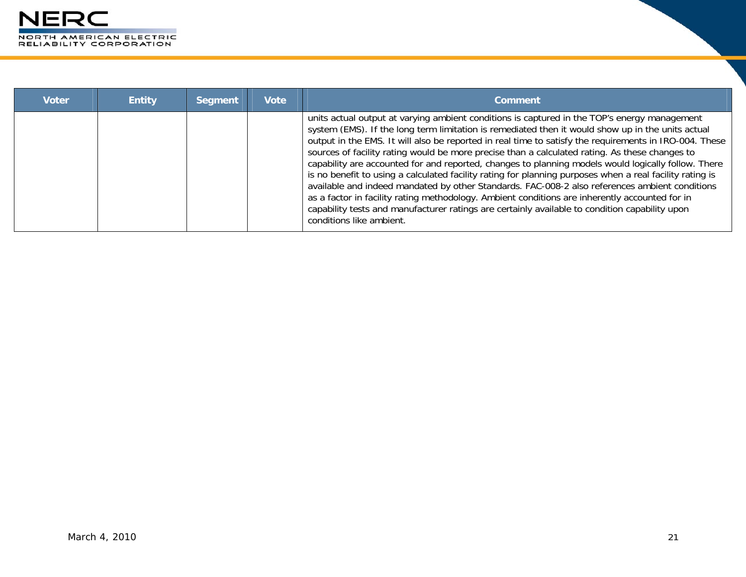

| <b>Voter</b> | <b>Entity</b> | <b>Segment</b> | <b>Vote</b> | <b>Comment</b>                                                                                                                                                                                                                                                                                                                                                                                                                                                                                                                                                                                                                                                                                                                                                                                                                                                                                                                                                     |
|--------------|---------------|----------------|-------------|--------------------------------------------------------------------------------------------------------------------------------------------------------------------------------------------------------------------------------------------------------------------------------------------------------------------------------------------------------------------------------------------------------------------------------------------------------------------------------------------------------------------------------------------------------------------------------------------------------------------------------------------------------------------------------------------------------------------------------------------------------------------------------------------------------------------------------------------------------------------------------------------------------------------------------------------------------------------|
|              |               |                |             | units actual output at varying ambient conditions is captured in the TOP's energy management<br>system (EMS). If the long term limitation is remediated then it would show up in the units actual<br>output in the EMS. It will also be reported in real time to satisfy the requirements in IRO-004. These<br>sources of facility rating would be more precise than a calculated rating. As these changes to<br>capability are accounted for and reported, changes to planning models would logically follow. There<br>is no benefit to using a calculated facility rating for planning purposes when a real facility rating is<br>available and indeed mandated by other Standards. FAC-008-2 also references ambient conditions<br>as a factor in facility rating methodology. Ambient conditions are inherently accounted for in<br>capability tests and manufacturer ratings are certainly available to condition capability upon<br>conditions like ambient. |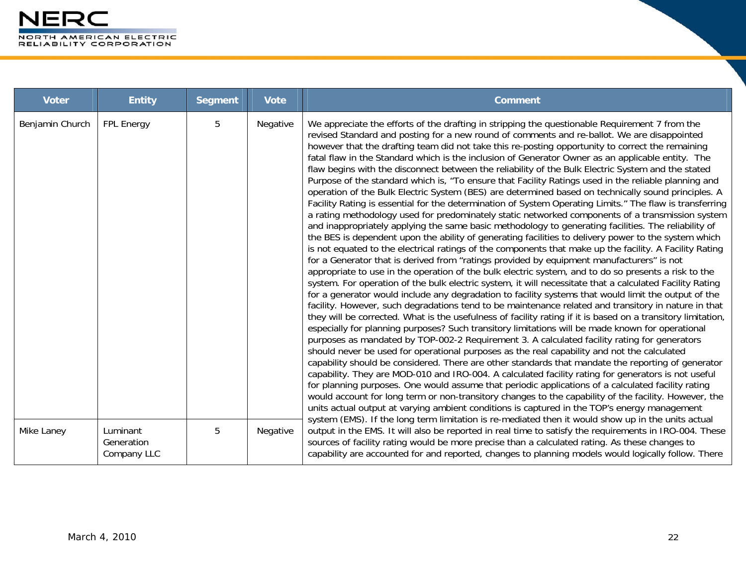| <b>Voter</b>    | <b>Entity</b>                         | <b>Segment</b> | <b>Vote</b> | <b>Comment</b>                                                                                                                                                                                                                                                                                                                                                                                                                                                                                                                                                                                                                                                                                                                                                                                                                                                                                                                                                                                                                                                                                                                                                                                                                                                                                                                                                                                                                                                                                                                                                                                                                                                                                                                                                                                                                                                                                                                                                                                                                                                                                                                                                                                                                                                                                                                                                                                                                                                                                                                                                                                                                                                                                                                                                                                                                                               |
|-----------------|---------------------------------------|----------------|-------------|--------------------------------------------------------------------------------------------------------------------------------------------------------------------------------------------------------------------------------------------------------------------------------------------------------------------------------------------------------------------------------------------------------------------------------------------------------------------------------------------------------------------------------------------------------------------------------------------------------------------------------------------------------------------------------------------------------------------------------------------------------------------------------------------------------------------------------------------------------------------------------------------------------------------------------------------------------------------------------------------------------------------------------------------------------------------------------------------------------------------------------------------------------------------------------------------------------------------------------------------------------------------------------------------------------------------------------------------------------------------------------------------------------------------------------------------------------------------------------------------------------------------------------------------------------------------------------------------------------------------------------------------------------------------------------------------------------------------------------------------------------------------------------------------------------------------------------------------------------------------------------------------------------------------------------------------------------------------------------------------------------------------------------------------------------------------------------------------------------------------------------------------------------------------------------------------------------------------------------------------------------------------------------------------------------------------------------------------------------------------------------------------------------------------------------------------------------------------------------------------------------------------------------------------------------------------------------------------------------------------------------------------------------------------------------------------------------------------------------------------------------------------------------------------------------------------------------------------------------------|
| Benjamin Church | <b>FPL Energy</b>                     | 5              | Negative    | We appreciate the efforts of the drafting in stripping the questionable Requirement 7 from the<br>revised Standard and posting for a new round of comments and re-ballot. We are disappointed<br>however that the drafting team did not take this re-posting opportunity to correct the remaining<br>fatal flaw in the Standard which is the inclusion of Generator Owner as an applicable entity. The<br>flaw begins with the disconnect between the reliability of the Bulk Electric System and the stated<br>Purpose of the standard which is, "To ensure that Facility Ratings used in the reliable planning and<br>operation of the Bulk Electric System (BES) are determined based on technically sound principles. A<br>Facility Rating is essential for the determination of System Operating Limits." The flaw is transferring<br>a rating methodology used for predominately static networked components of a transmission system<br>and inappropriately applying the same basic methodology to generating facilities. The reliability of<br>the BES is dependent upon the ability of generating facilities to delivery power to the system which<br>is not equated to the electrical ratings of the components that make up the facility. A Facility Rating<br>for a Generator that is derived from "ratings provided by equipment manufacturers" is not<br>appropriate to use in the operation of the bulk electric system, and to do so presents a risk to the<br>system. For operation of the bulk electric system, it will necessitate that a calculated Facility Rating<br>for a generator would include any degradation to facility systems that would limit the output of the<br>facility. However, such degradations tend to be maintenance related and transitory in nature in that<br>they will be corrected. What is the usefulness of facility rating if it is based on a transitory limitation,<br>especially for planning purposes? Such transitory limitations will be made known for operational<br>purposes as mandated by TOP-002-2 Requirement 3. A calculated facility rating for generators<br>should never be used for operational purposes as the real capability and not the calculated<br>capability should be considered. There are other standards that mandate the reporting of generator<br>capability. They are MOD-010 and IRO-004. A calculated facility rating for generators is not useful<br>for planning purposes. One would assume that periodic applications of a calculated facility rating<br>would account for long term or non-transitory changes to the capability of the facility. However, the<br>units actual output at varying ambient conditions is captured in the TOP's energy management<br>system (EMS). If the long term limitation is re-mediated then it would show up in the units actual |
| Mike Laney      | Luminant<br>Generation<br>Company LLC | 5              | Negative    | output in the EMS. It will also be reported in real time to satisfy the requirements in IRO-004. These<br>sources of facility rating would be more precise than a calculated rating. As these changes to<br>capability are accounted for and reported, changes to planning models would logically follow. There                                                                                                                                                                                                                                                                                                                                                                                                                                                                                                                                                                                                                                                                                                                                                                                                                                                                                                                                                                                                                                                                                                                                                                                                                                                                                                                                                                                                                                                                                                                                                                                                                                                                                                                                                                                                                                                                                                                                                                                                                                                                                                                                                                                                                                                                                                                                                                                                                                                                                                                                              |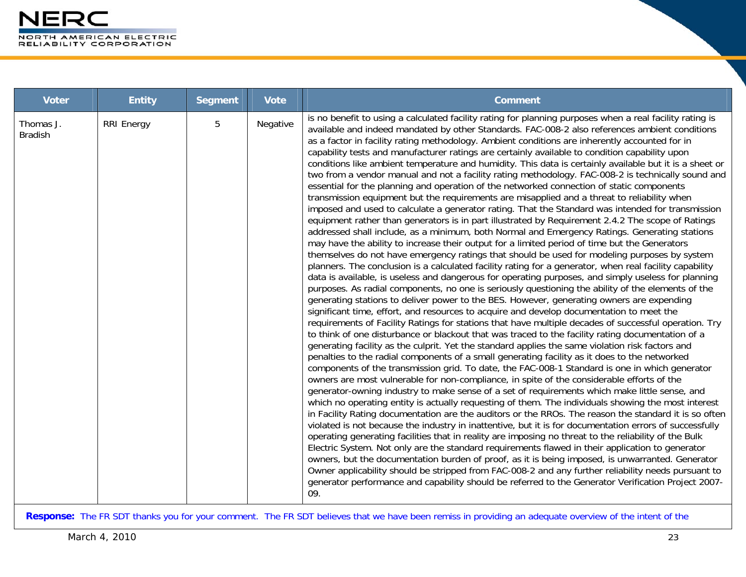| <b>Voter</b>                | <b>Entity</b>     | <b>Segment</b> | <b>Vote</b> | <b>Comment</b>                                                                                                                                                                                                                                                                                                                                                                                                                                                                                                                                                                                                                                                                                                                                                                                                                                                                                                                                                                                                                                                                                                                                                                                                                                                                                                                                                                                                                                                                                                                                                                                                                                                                                                                                                                                                                                                                                                                                                                                                                                                                                                                                                                                                                                                                                                                                                                                                                                                                                                                                                                                                                                                                                                                                                                                                                                                                                                                                                                                                                                                                                                                                                                                                                                                                                                                                                                                                                                |
|-----------------------------|-------------------|----------------|-------------|-----------------------------------------------------------------------------------------------------------------------------------------------------------------------------------------------------------------------------------------------------------------------------------------------------------------------------------------------------------------------------------------------------------------------------------------------------------------------------------------------------------------------------------------------------------------------------------------------------------------------------------------------------------------------------------------------------------------------------------------------------------------------------------------------------------------------------------------------------------------------------------------------------------------------------------------------------------------------------------------------------------------------------------------------------------------------------------------------------------------------------------------------------------------------------------------------------------------------------------------------------------------------------------------------------------------------------------------------------------------------------------------------------------------------------------------------------------------------------------------------------------------------------------------------------------------------------------------------------------------------------------------------------------------------------------------------------------------------------------------------------------------------------------------------------------------------------------------------------------------------------------------------------------------------------------------------------------------------------------------------------------------------------------------------------------------------------------------------------------------------------------------------------------------------------------------------------------------------------------------------------------------------------------------------------------------------------------------------------------------------------------------------------------------------------------------------------------------------------------------------------------------------------------------------------------------------------------------------------------------------------------------------------------------------------------------------------------------------------------------------------------------------------------------------------------------------------------------------------------------------------------------------------------------------------------------------------------------------------------------------------------------------------------------------------------------------------------------------------------------------------------------------------------------------------------------------------------------------------------------------------------------------------------------------------------------------------------------------------------------------------------------------------------------------------------------------|
| Thomas J.<br><b>Bradish</b> | <b>RRI Energy</b> | 5              | Negative    | is no benefit to using a calculated facility rating for planning purposes when a real facility rating is<br>available and indeed mandated by other Standards. FAC-008-2 also references ambient conditions<br>as a factor in facility rating methodology. Ambient conditions are inherently accounted for in<br>capability tests and manufacturer ratings are certainly available to condition capability upon<br>conditions like ambient temperature and humidity. This data is certainly available but it is a sheet or<br>two from a vendor manual and not a facility rating methodology. FAC-008-2 is technically sound and<br>essential for the planning and operation of the networked connection of static components<br>transmission equipment but the requirements are misapplied and a threat to reliability when<br>imposed and used to calculate a generator rating. That the Standard was intended for transmission<br>equipment rather than generators is in part illustrated by Requirement 2.4.2 The scope of Ratings<br>addressed shall include, as a minimum, both Normal and Emergency Ratings. Generating stations<br>may have the ability to increase their output for a limited period of time but the Generators<br>themselves do not have emergency ratings that should be used for modeling purposes by system<br>planners. The conclusion is a calculated facility rating for a generator, when real facility capability<br>data is available, is useless and dangerous for operating purposes, and simply useless for planning<br>purposes. As radial components, no one is seriously questioning the ability of the elements of the<br>generating stations to deliver power to the BES. However, generating owners are expending<br>significant time, effort, and resources to acquire and develop documentation to meet the<br>requirements of Facility Ratings for stations that have multiple decades of successful operation. Try<br>to think of one disturbance or blackout that was traced to the facility rating documentation of a<br>generating facility as the culprit. Yet the standard applies the same violation risk factors and<br>penalties to the radial components of a small generating facility as it does to the networked<br>components of the transmission grid. To date, the FAC-008-1 Standard is one in which generator<br>owners are most vulnerable for non-compliance, in spite of the considerable efforts of the<br>generator-owning industry to make sense of a set of requirements which make little sense, and<br>which no operating entity is actually requesting of them. The individuals showing the most interest<br>in Facility Rating documentation are the auditors or the RROs. The reason the standard it is so often<br>violated is not because the industry in inattentive, but it is for documentation errors of successfully<br>operating generating facilities that in reality are imposing no threat to the reliability of the Bulk<br>Electric System. Not only are the standard requirements flawed in their application to generator<br>owners, but the documentation burden of proof, as it is being imposed, is unwarranted. Generator<br>Owner applicability should be stripped from FAC-008-2 and any further reliability needs pursuant to<br>generator performance and capability should be referred to the Generator Verification Project 2007-<br>09. |

**Response:** The FR SDT thanks you for your comment. The FR SDT believes that we have been remiss in providing an adequate overview of the intent of the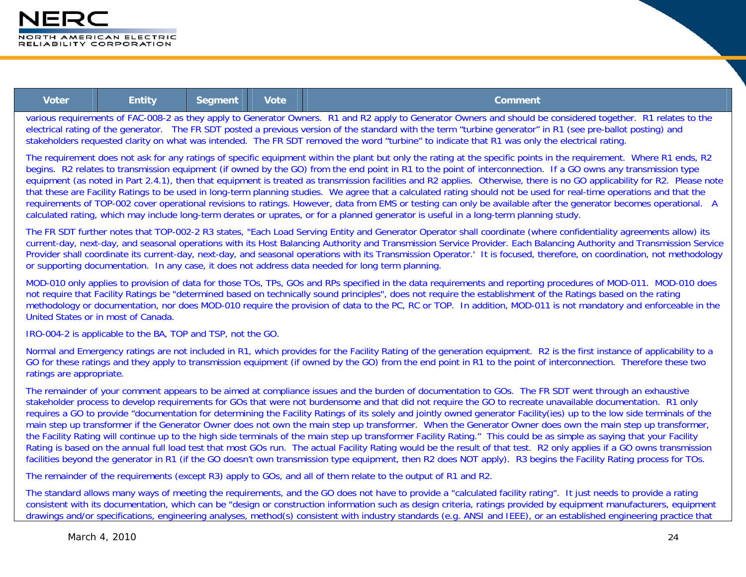

| Voter | <b>Entity</b> | <b>Segment</b> | <b>Vote</b> | Comment.                   |
|-------|---------------|----------------|-------------|----------------------------|
|       |               |                |             | .<br>_________<br>___<br>. |

various requirements of FAC-008-2 as they apply to Generator Owners. R1 and R2 apply to Generator Owners and should be considered together. R1 relates to the electrical rating of the generator. The FR SDT posted a previous version of the standard with the term "turbine generator" in R1 (see pre-ballot posting) and stakeholders requested clarity on what was intended. The FR SDT removed the word "turbine" to indicate that R1 was only the electrical rating.

The requirement does not ask for any ratings of specific equipment within the plant but only the rating at the specific points in the requirement. Where R1 ends, R2 begins. R2 relates to transmission equipment (if owned by the GO) from the end point in R1 to the point of interconnection. If a GO owns any transmission type equipment (as noted in Part 2.4.1), then that equipment is treated as transmission facilities and R2 applies. Otherwise, there is no GO applicability for R2. Please note that these are Facility Ratings to be used in long-term planning studies. We agree that a calculated rating should not be used for real-time operations and that the requirements of TOP-002 cover operational revisions to ratings. However, data from EMS or testing can only be available after the generator becomes operational. A calculated rating, which may include long-term derates or uprates, or for a planned generator is useful in a long-term planning study.

The FR SDT further notes that TOP-002-2 R3 states, "Each Load Serving Entity and Generator Operator shall coordinate (where confidentiality agreements allow) its current-day, next-day, and seasonal operations with its Host Balancing Authority and Transmission Service Provider. Each Balancing Authority and Transmission Service Provider shall coordinate its current-day, next-day, and seasonal operations with its Transmission Operator.' It is focused, therefore, on coordination, not methodology or supporting documentation. In any case, it does not address data needed for long term planning.

MOD-010 only applies to provision of data for those TOs, TPs, GOs and RPs specified in the data requirements and reporting procedures of MOD-011. MOD-010 does not require that Facility Ratings be "determined based on technically sound principles", does not require the establishment of the Ratings based on the rating methodology or documentation, nor does MOD-010 require the provision of data to the PC, RC or TOP. In addition, MOD-011 is not mandatory and enforceable in the United States or in most of Canada.

IRO-004-2 is applicable to the BA, TOP and TSP, not the GO.

Normal and Emergency ratings are not included in R1, which provides for the Facility Rating of the generation equipment. R2 is the first instance of applicability to a GO for these ratings and they apply to transmission equipment (if owned by the GO) from the end point in R1 to the point of interconnection. Therefore these two ratings are appropriate.

The remainder of your comment appears to be aimed at compliance issues and the burden of documentation to GOs. The FR SDT went through an exhaustive stakeholder process to develop requirements for GOs that were not burdensome and that did not require the GO to recreate unavailable documentation. R1 only requires a GO to provide "documentation for determining the Facility Ratings of its solely and jointly owned generator Facility(ies) up to the low side terminals of the main step up transformer if the Generator Owner does not own the main step up transformer. When the Generator Owner does own the main step up transformer, the Facility Rating will continue up to the high side terminals of the main step up transformer Facility Rating." This could be as simple as saying that your Facility Rating is based on the annual full load test that most GOs run. The actual Facility Rating would be the result of that test. R2 only applies if a GO owns transmission facilities beyond the generator in R1 (if the GO doesn't own transmission type equipment, then R2 does NOT apply). R3 begins the Facility Rating process for TOs.

The remainder of the requirements (except R3) apply to GOs, and all of them relate to the output of R1 and R2.

The standard allows many ways of meeting the requirements, and the GO does not have to provide a "calculated facility rating". It just needs to provide a rating consistent with its documentation, which can be "design or construction information such as design criteria, ratings provided by equipment manufacturers, equipment drawings and/or specifications, engineering analyses, method(s) consistent with industry standards (e.g. ANSI and IEEE), or an established engineering practice that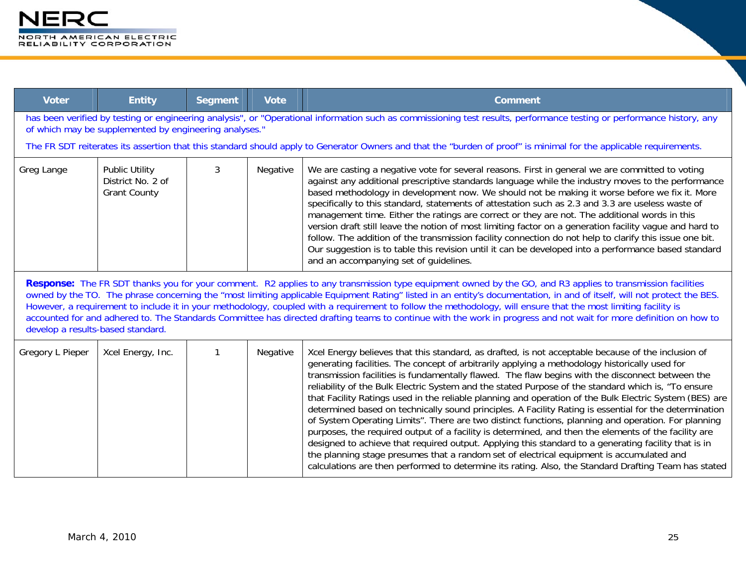| <b>Voter</b>                                                                                                                                                                                                                                                                                                                                                                                                                                                                                                                                                                                                                                                                                                       | <b>Entity</b>                                                     | <b>Segment</b> | <b>Vote</b> | <b>Comment</b>                                                                                                                                                                                                                                                                                                                                                                                                                                                                                                                                                                                                                                                                                                                                                                                                                                                                                                                                                                                                                                                                                                                                                  |  |
|--------------------------------------------------------------------------------------------------------------------------------------------------------------------------------------------------------------------------------------------------------------------------------------------------------------------------------------------------------------------------------------------------------------------------------------------------------------------------------------------------------------------------------------------------------------------------------------------------------------------------------------------------------------------------------------------------------------------|-------------------------------------------------------------------|----------------|-------------|-----------------------------------------------------------------------------------------------------------------------------------------------------------------------------------------------------------------------------------------------------------------------------------------------------------------------------------------------------------------------------------------------------------------------------------------------------------------------------------------------------------------------------------------------------------------------------------------------------------------------------------------------------------------------------------------------------------------------------------------------------------------------------------------------------------------------------------------------------------------------------------------------------------------------------------------------------------------------------------------------------------------------------------------------------------------------------------------------------------------------------------------------------------------|--|
| has been verified by testing or engineering analysis", or "Operational information such as commissioning test results, performance testing or performance history, any<br>of which may be supplemented by engineering analyses."                                                                                                                                                                                                                                                                                                                                                                                                                                                                                   |                                                                   |                |             |                                                                                                                                                                                                                                                                                                                                                                                                                                                                                                                                                                                                                                                                                                                                                                                                                                                                                                                                                                                                                                                                                                                                                                 |  |
|                                                                                                                                                                                                                                                                                                                                                                                                                                                                                                                                                                                                                                                                                                                    |                                                                   |                |             | The FR SDT reiterates its assertion that this standard should apply to Generator Owners and that the "burden of proof" is minimal for the applicable requirements.                                                                                                                                                                                                                                                                                                                                                                                                                                                                                                                                                                                                                                                                                                                                                                                                                                                                                                                                                                                              |  |
| Greg Lange                                                                                                                                                                                                                                                                                                                                                                                                                                                                                                                                                                                                                                                                                                         | <b>Public Utility</b><br>District No. 2 of<br><b>Grant County</b> | 3              | Negative    | We are casting a negative vote for several reasons. First in general we are committed to voting<br>against any additional prescriptive standards language while the industry moves to the performance<br>based methodology in development now. We should not be making it worse before we fix it. More<br>specifically to this standard, statements of attestation such as 2.3 and 3.3 are useless waste of<br>management time. Either the ratings are correct or they are not. The additional words in this<br>version draft still leave the notion of most limiting factor on a generation facility vague and hard to<br>follow. The addition of the transmission facility connection do not help to clarify this issue one bit.<br>Our suggestion is to table this revision until it can be developed into a performance based standard<br>and an accompanying set of guidelines.                                                                                                                                                                                                                                                                            |  |
| Response: The FR SDT thanks you for your comment. R2 applies to any transmission type equipment owned by the GO, and R3 applies to transmission facilities<br>owned by the TO. The phrase concerning the "most limiting applicable Equipment Rating" listed in an entity's documentation, in and of itself, will not protect the BES.<br>However, a requirement to include it in your methodology, coupled with a requirement to follow the methodology, will ensure that the most limiting facility is<br>accounted for and adhered to. The Standards Committee has directed drafting teams to continue with the work in progress and not wait for more definition on how to<br>develop a results-based standard. |                                                                   |                |             |                                                                                                                                                                                                                                                                                                                                                                                                                                                                                                                                                                                                                                                                                                                                                                                                                                                                                                                                                                                                                                                                                                                                                                 |  |
| Gregory L Pieper                                                                                                                                                                                                                                                                                                                                                                                                                                                                                                                                                                                                                                                                                                   | Xcel Energy, Inc.                                                 | $\mathbf{1}$   | Negative    | Xcel Energy believes that this standard, as drafted, is not acceptable because of the inclusion of<br>generating facilities. The concept of arbitrarily applying a methodology historically used for<br>transmission facilities is fundamentally flawed. The flaw begins with the disconnect between the<br>reliability of the Bulk Electric System and the stated Purpose of the standard which is, "To ensure<br>that Facility Ratings used in the reliable planning and operation of the Bulk Electric System (BES) are<br>determined based on technically sound principles. A Facility Rating is essential for the determination<br>of System Operating Limits". There are two distinct functions, planning and operation. For planning<br>purposes, the required output of a facility is determined, and then the elements of the facility are<br>designed to achieve that required output. Applying this standard to a generating facility that is in<br>the planning stage presumes that a random set of electrical equipment is accumulated and<br>calculations are then performed to determine its rating. Also, the Standard Drafting Team has stated |  |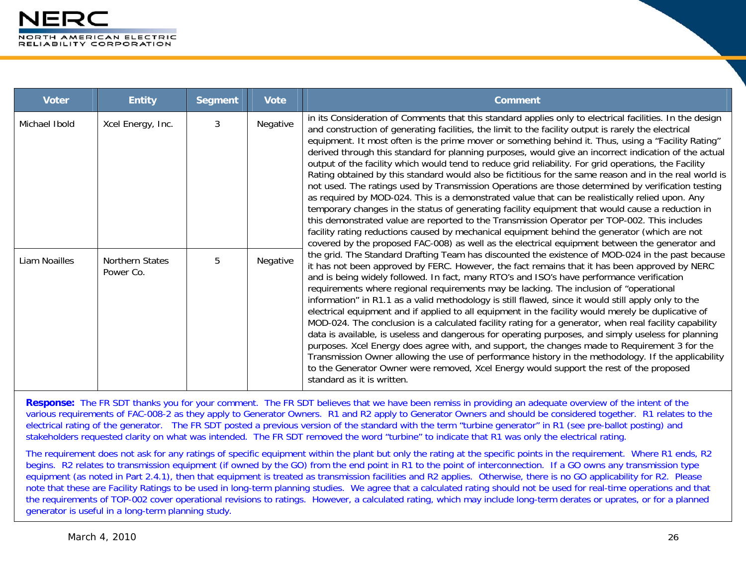| <b>Voter</b>  | <b>Entity</b>                | <b>Segment</b> | <b>Vote</b> | <b>Comment</b>                                                                                                                                                                                                                                                                                                                                                                                                                                                                                                                                                                                                                                                                                                                                                                                                                                                                                                                                                                                                                                                                                                                                                                                                                                                                                                                                                                                                                                                                                                                                                                                                                                                                                                                                                                                                                                                                                                                                                                                                                                                                                                                                                                                                                                                                                                                                                                                                                  |
|---------------|------------------------------|----------------|-------------|---------------------------------------------------------------------------------------------------------------------------------------------------------------------------------------------------------------------------------------------------------------------------------------------------------------------------------------------------------------------------------------------------------------------------------------------------------------------------------------------------------------------------------------------------------------------------------------------------------------------------------------------------------------------------------------------------------------------------------------------------------------------------------------------------------------------------------------------------------------------------------------------------------------------------------------------------------------------------------------------------------------------------------------------------------------------------------------------------------------------------------------------------------------------------------------------------------------------------------------------------------------------------------------------------------------------------------------------------------------------------------------------------------------------------------------------------------------------------------------------------------------------------------------------------------------------------------------------------------------------------------------------------------------------------------------------------------------------------------------------------------------------------------------------------------------------------------------------------------------------------------------------------------------------------------------------------------------------------------------------------------------------------------------------------------------------------------------------------------------------------------------------------------------------------------------------------------------------------------------------------------------------------------------------------------------------------------------------------------------------------------------------------------------------------------|
| Michael Ibold | Xcel Energy, Inc.            | 3              | Negative    | in its Consideration of Comments that this standard applies only to electrical facilities. In the design<br>and construction of generating facilities, the limit to the facility output is rarely the electrical<br>equipment. It most often is the prime mover or something behind it. Thus, using a "Facility Rating"<br>derived through this standard for planning purposes, would give an incorrect indication of the actual<br>output of the facility which would tend to reduce grid reliability. For grid operations, the Facility<br>Rating obtained by this standard would also be fictitious for the same reason and in the real world is<br>not used. The ratings used by Transmission Operations are those determined by verification testing<br>as required by MOD-024. This is a demonstrated value that can be realistically relied upon. Any<br>temporary changes in the status of generating facility equipment that would cause a reduction in<br>this demonstrated value are reported to the Transmission Operator per TOP-002. This includes<br>facility rating reductions caused by mechanical equipment behind the generator (which are not<br>covered by the proposed FAC-008) as well as the electrical equipment between the generator and<br>the grid. The Standard Drafting Team has discounted the existence of MOD-024 in the past because<br>it has not been approved by FERC. However, the fact remains that it has been approved by NERC<br>and is being widely followed. In fact, many RTO's and ISO's have performance verification<br>requirements where regional requirements may be lacking. The inclusion of "operational<br>information" in R1.1 as a valid methodology is still flawed, since it would still apply only to the<br>electrical equipment and if applied to all equipment in the facility would merely be duplicative of<br>MOD-024. The conclusion is a calculated facility rating for a generator, when real facility capability<br>data is available, is useless and dangerous for operating purposes, and simply useless for planning<br>purposes. Xcel Energy does agree with, and support, the changes made to Requirement 3 for the<br>Transmission Owner allowing the use of performance history in the methodology. If the applicability<br>to the Generator Owner were removed, Xcel Energy would support the rest of the proposed<br>standard as it is written. |
| Liam Noailles | Northern States<br>Power Co. | 5              | Negative    |                                                                                                                                                                                                                                                                                                                                                                                                                                                                                                                                                                                                                                                                                                                                                                                                                                                                                                                                                                                                                                                                                                                                                                                                                                                                                                                                                                                                                                                                                                                                                                                                                                                                                                                                                                                                                                                                                                                                                                                                                                                                                                                                                                                                                                                                                                                                                                                                                                 |

**Response:** The FR SDT thanks you for your comment. The FR SDT believes that we have been remiss in providing an adequate overview of the intent of the various requirements of FAC-008-2 as they apply to Generator Owners. R1 and R2 apply to Generator Owners and should be considered together. R1 relates to the electrical rating of the generator. The FR SDT posted a previous version of the standard with the term "turbine generator" in R1 (see pre-ballot posting) and stakeholders requested clarity on what was intended. The FR SDT removed the word "turbine" to indicate that R1 was only the electrical rating.

The requirement does not ask for any ratings of specific equipment within the plant but only the rating at the specific points in the requirement. Where R1 ends, R2 begins. R2 relates to transmission equipment (if owned by the GO) from the end point in R1 to the point of interconnection. If a GO owns any transmission type equipment (as noted in Part 2.4.1), then that equipment is treated as transmission facilities and R2 applies. Otherwise, there is no GO applicability for R2. Please note that these are Facility Ratings to be used in long-term planning studies. We agree that a calculated rating should not be used for real-time operations and that the requirements of TOP-002 cover operational revisions to ratings. However, a calculated rating, which may include long-term derates or uprates, or for a planned generator is useful in a long-term planning study.